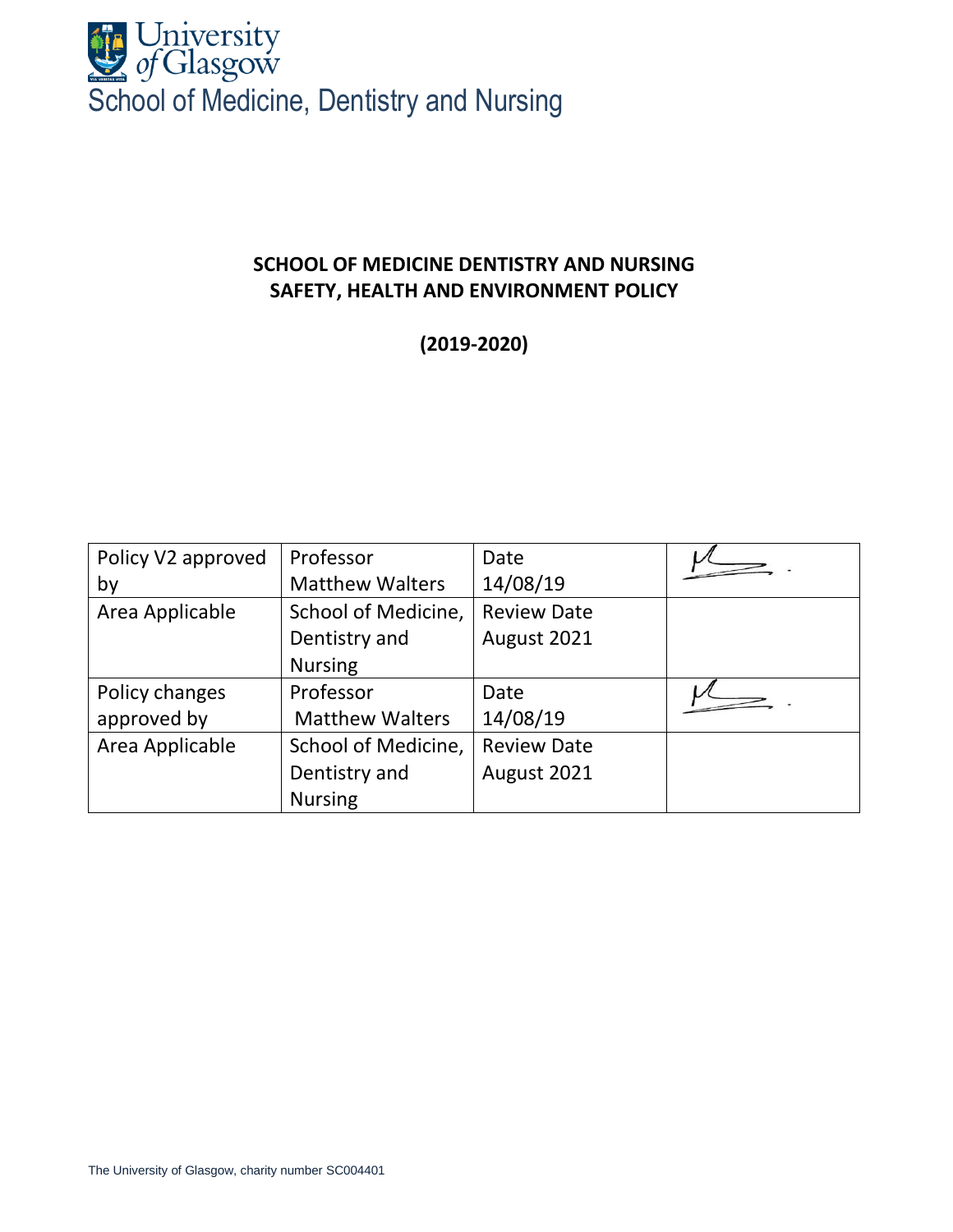

# **SCHOOL OF MEDICINE DENTISTRY AND NURSING SAFETY, HEALTH AND ENVIRONMENT POLICY**

**(2019-2020)**

| Policy V2 approved | Professor              | Date               |  |
|--------------------|------------------------|--------------------|--|
| by                 | <b>Matthew Walters</b> | 14/08/19           |  |
| Area Applicable    | School of Medicine,    | <b>Review Date</b> |  |
|                    | Dentistry and          | August 2021        |  |
|                    | <b>Nursing</b>         |                    |  |
| Policy changes     | Professor              | Date               |  |
| approved by        | <b>Matthew Walters</b> | 14/08/19           |  |
| Area Applicable    | School of Medicine,    | <b>Review Date</b> |  |
|                    | Dentistry and          | August 2021        |  |
|                    | <b>Nursing</b>         |                    |  |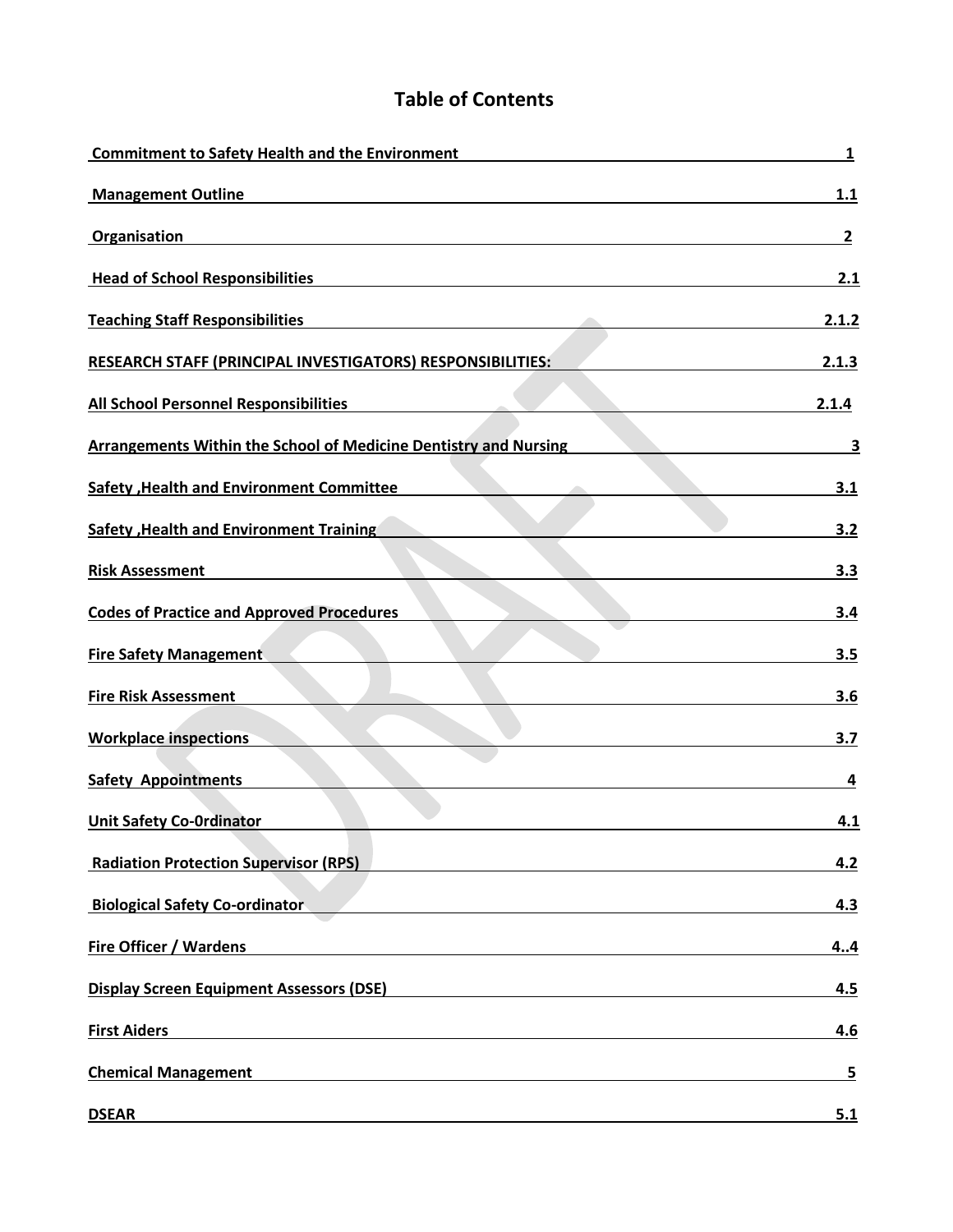# **Table of Contents**

| <b>Commitment to Safety Health and the Environment</b>                  | 1              |
|-------------------------------------------------------------------------|----------------|
| <b>Management Outline</b>                                               | 1.1            |
| Organisation                                                            | $\mathbf{2}$   |
| <b>Head of School Responsibilities</b>                                  | 2.1            |
| <b>Teaching Staff Responsibilities</b>                                  | 2.1.2          |
| RESEARCH STAFF (PRINCIPAL INVESTIGATORS) RESPONSIBILITIES:              | 2.1.3          |
| <b>All School Personnel Responsibilities</b>                            | 2.1.4          |
| <b>Arrangements Within the School of Medicine Dentistry and Nursing</b> | 3              |
| <b>Safety , Health and Environment Committee</b>                        | 3.1            |
| <b>Safety , Health and Environment Training</b>                         | 3.2            |
| <b>Risk Assessment</b>                                                  | 3.3            |
| <b>Codes of Practice and Approved Procedures</b>                        | 3.4            |
| <b>Fire Safety Management</b>                                           | 3.5            |
| <b>Fire Risk Assessment</b>                                             | 3.6            |
| <b>Workplace inspections</b>                                            | 3.7            |
| <b>Safety Appointments</b>                                              | 4              |
| <b>Unit Safety Co-Ordinator</b>                                         | 4.1            |
| <b>Radiation Protection Supervisor (RPS)</b>                            | 4.2            |
| <b>Biological Safety Co-ordinator</b>                                   | 4.3            |
| <b>Fire Officer / Wardens</b>                                           | 4.4            |
| <b>Display Screen Equipment Assessors (DSE)</b>                         | 4.5            |
| <b>First Aiders</b>                                                     | 4.6            |
| <b>Chemical Management</b>                                              | $\overline{5}$ |
| <b>DSEAR</b>                                                            | 5.1            |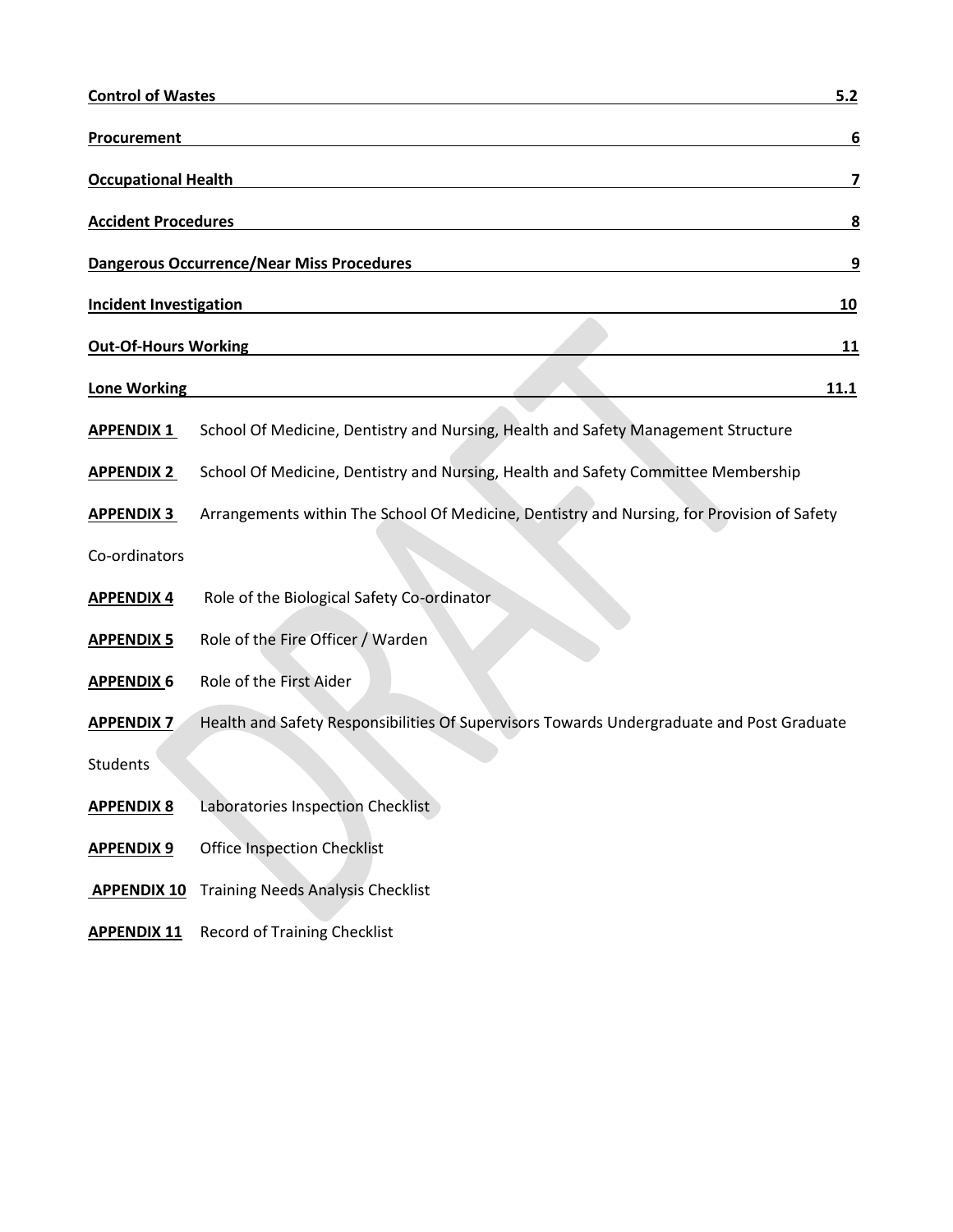| <b>Control of Wastes</b>      | 5.2                                                                                        |  |  |  |  |
|-------------------------------|--------------------------------------------------------------------------------------------|--|--|--|--|
| <b>Procurement</b>            | 6                                                                                          |  |  |  |  |
| <b>Occupational Health</b>    | 7                                                                                          |  |  |  |  |
| <b>Accident Procedures</b>    | $\overline{\mathbf{8}}$                                                                    |  |  |  |  |
|                               | <b>Dangerous Occurrence/Near Miss Procedures</b><br>9                                      |  |  |  |  |
| <b>Incident Investigation</b> | 10                                                                                         |  |  |  |  |
| <b>Out-Of-Hours Working</b>   | 11                                                                                         |  |  |  |  |
| <b>Lone Working</b>           | <u>11.1</u>                                                                                |  |  |  |  |
| <b>APPENDIX 1</b>             | School Of Medicine, Dentistry and Nursing, Health and Safety Management Structure          |  |  |  |  |
| <b>APPENDIX 2</b>             | School Of Medicine, Dentistry and Nursing, Health and Safety Committee Membership          |  |  |  |  |
| <b>APPENDIX 3</b>             | Arrangements within The School Of Medicine, Dentistry and Nursing, for Provision of Safety |  |  |  |  |
| Co-ordinators                 |                                                                                            |  |  |  |  |
| <b>APPENDIX 4</b>             | Role of the Biological Safety Co-ordinator                                                 |  |  |  |  |
| <b>APPENDIX 5</b>             | Role of the Fire Officer / Warden                                                          |  |  |  |  |
| <b>APPENDIX 6</b>             | Role of the First Aider                                                                    |  |  |  |  |
| <b>APPENDIX 7</b>             | Health and Safety Responsibilities Of Supervisors Towards Undergraduate and Post Graduate  |  |  |  |  |
| Students                      |                                                                                            |  |  |  |  |
| <b>APPENDIX 8</b>             | Laboratories Inspection Checklist                                                          |  |  |  |  |
| <b>APPENDIX 9</b>             | <b>Office Inspection Checklist</b>                                                         |  |  |  |  |
| <b>APPENDIX 10</b>            | <b>Training Needs Analysis Checklist</b>                                                   |  |  |  |  |
| <b>APPENDIX 11</b>            | <b>Record of Training Checklist</b>                                                        |  |  |  |  |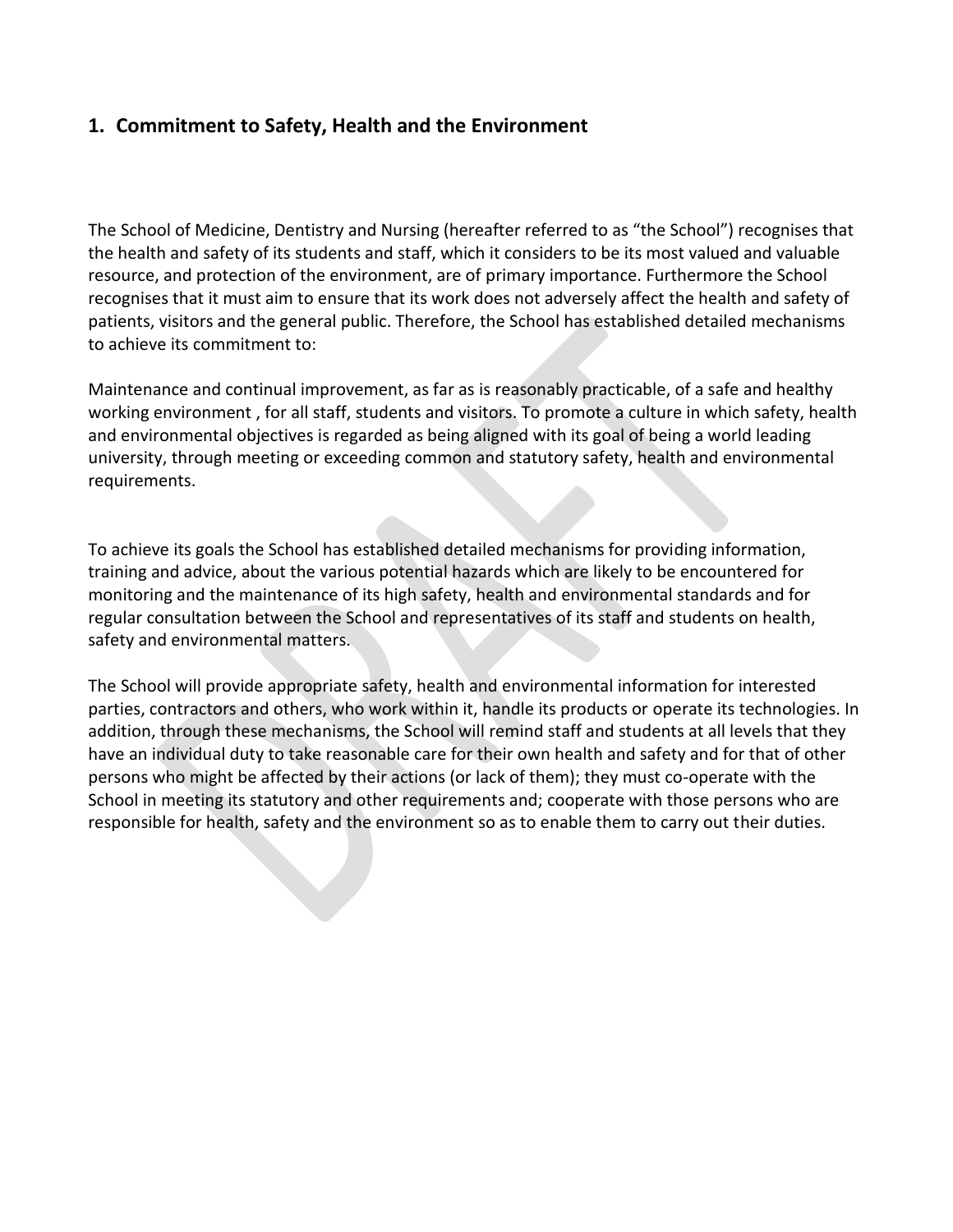# **1. Commitment to Safety, Health and the Environment**

The School of Medicine, Dentistry and Nursing (hereafter referred to as "the School") recognises that the health and safety of its students and staff, which it considers to be its most valued and valuable resource, and protection of the environment, are of primary importance. Furthermore the School recognises that it must aim to ensure that its work does not adversely affect the health and safety of patients, visitors and the general public. Therefore, the School has established detailed mechanisms to achieve its commitment to:

Maintenance and continual improvement, as far as is reasonably practicable, of a safe and healthy working environment , for all staff, students and visitors. To promote a culture in which safety, health and environmental objectives is regarded as being aligned with its goal of being a world leading university, through meeting or exceeding common and statutory safety, health and environmental requirements.

To achieve its goals the School has established detailed mechanisms for providing information, training and advice, about the various potential hazards which are likely to be encountered for monitoring and the maintenance of its high safety, health and environmental standards and for regular consultation between the School and representatives of its staff and students on health, safety and environmental matters.

The School will provide appropriate safety, health and environmental information for interested parties, contractors and others, who work within it, handle its products or operate its technologies. In addition, through these mechanisms, the School will remind staff and students at all levels that they have an individual duty to take reasonable care for their own health and safety and for that of other persons who might be affected by their actions (or lack of them); they must co-operate with the School in meeting its statutory and other requirements and; cooperate with those persons who are responsible for health, safety and the environment so as to enable them to carry out their duties.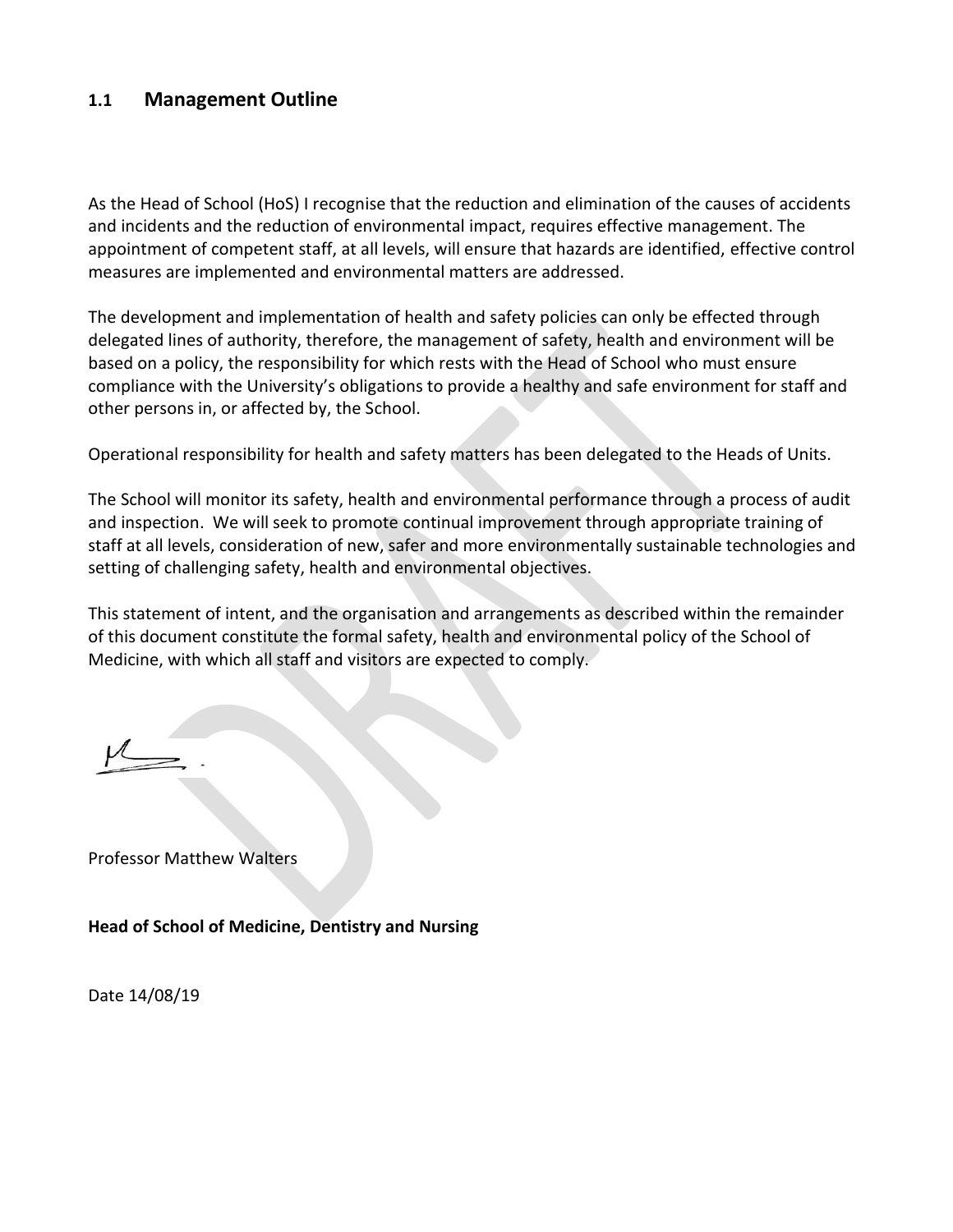### **1.1 Management Outline**

As the Head of School (HoS) I recognise that the reduction and elimination of the causes of accidents and incidents and the reduction of environmental impact, requires effective management. The appointment of competent staff, at all levels, will ensure that hazards are identified, effective control measures are implemented and environmental matters are addressed.

The development and implementation of health and safety policies can only be effected through delegated lines of authority, therefore, the management of safety, health and environment will be based on a policy, the responsibility for which rests with the Head of School who must ensure compliance with the University's obligations to provide a healthy and safe environment for staff and other persons in, or affected by, the School.

Operational responsibility for health and safety matters has been delegated to the Heads of Units.

The School will monitor its safety, health and environmental performance through a process of audit and inspection. We will seek to promote continual improvement through appropriate training of staff at all levels, consideration of new, safer and more environmentally sustainable technologies and setting of challenging safety, health and environmental objectives.

This statement of intent, and the organisation and arrangements as described within the remainder of this document constitute the formal safety, health and environmental policy of the School of Medicine, with which all staff and visitors are expected to comply.

Professor Matthew Walters

**Head of School of Medicine, Dentistry and Nursing**

Date 14/08/19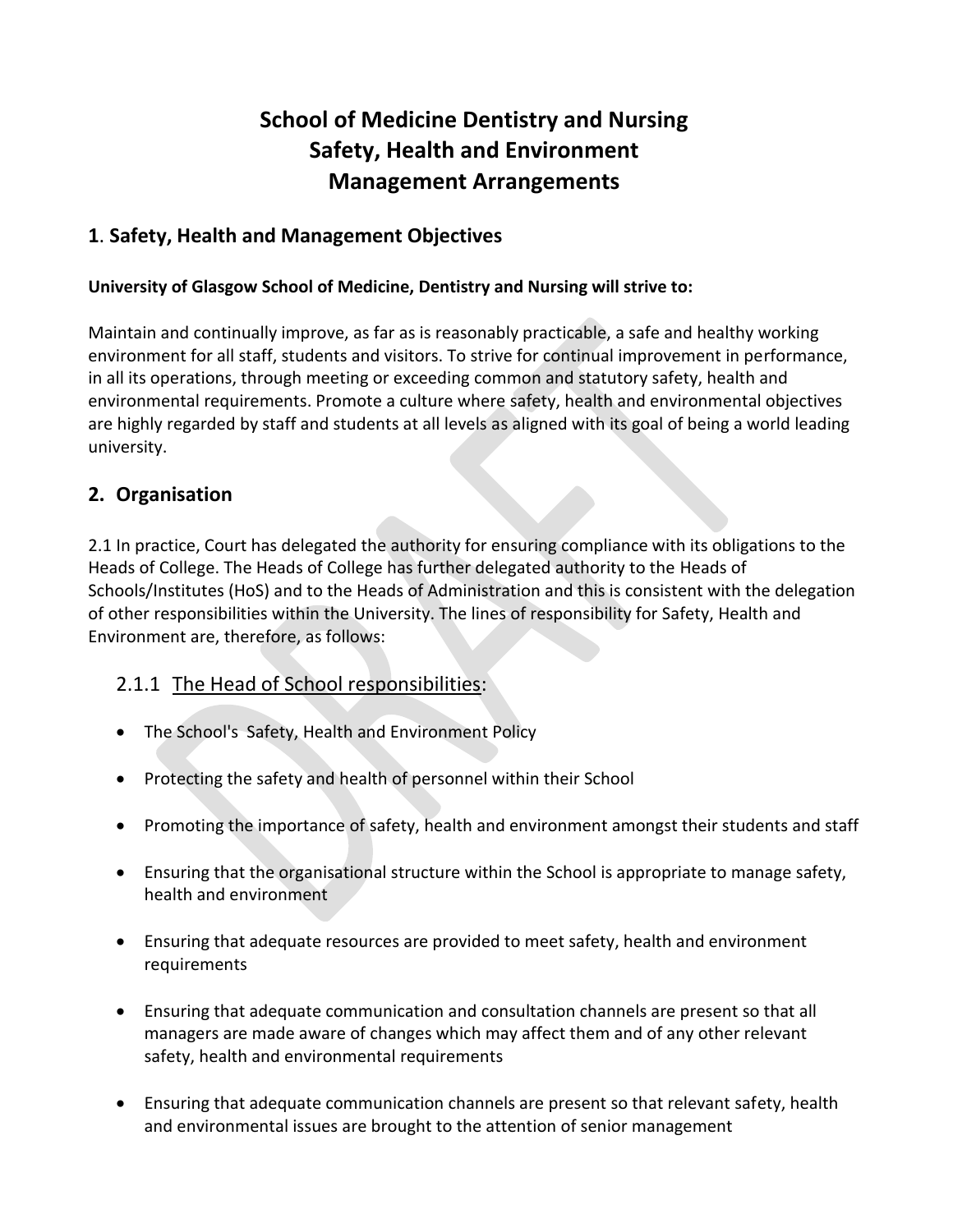# **School of Medicine Dentistry and Nursing Safety, Health and Environment Management Arrangements**

# **1**. **Safety, Health and Management Objectives**

### **University of Glasgow School of Medicine, Dentistry and Nursing will strive to:**

Maintain and continually improve, as far as is reasonably practicable, a safe and healthy working environment for all staff, students and visitors. To strive for continual improvement in performance, in all its operations, through meeting or exceeding common and statutory safety, health and environmental requirements. Promote a culture where safety, health and environmental objectives are highly regarded by staff and students at all levels as aligned with its goal of being a world leading university.

## **2. Organisation**

2.1 In practice, Court has delegated the authority for ensuring compliance with its obligations to the Heads of College. The Heads of College has further delegated authority to the Heads of Schools/Institutes (HoS) and to the Heads of Administration and this is consistent with the delegation of other responsibilities within the University. The lines of responsibility for Safety, Health and Environment are, therefore, as follows:

# 2.1.1 The Head of School responsibilities:

- The School's Safety, Health and Environment Policy
- Protecting the safety and health of personnel within their School
- Promoting the importance of safety, health and environment amongst their students and staff
- Ensuring that the organisational structure within the School is appropriate to manage safety, health and environment
- Ensuring that adequate resources are provided to meet safety, health and environment requirements
- Ensuring that adequate communication and consultation channels are present so that all managers are made aware of changes which may affect them and of any other relevant safety, health and environmental requirements
- Ensuring that adequate communication channels are present so that relevant safety, health and environmental issues are brought to the attention of senior management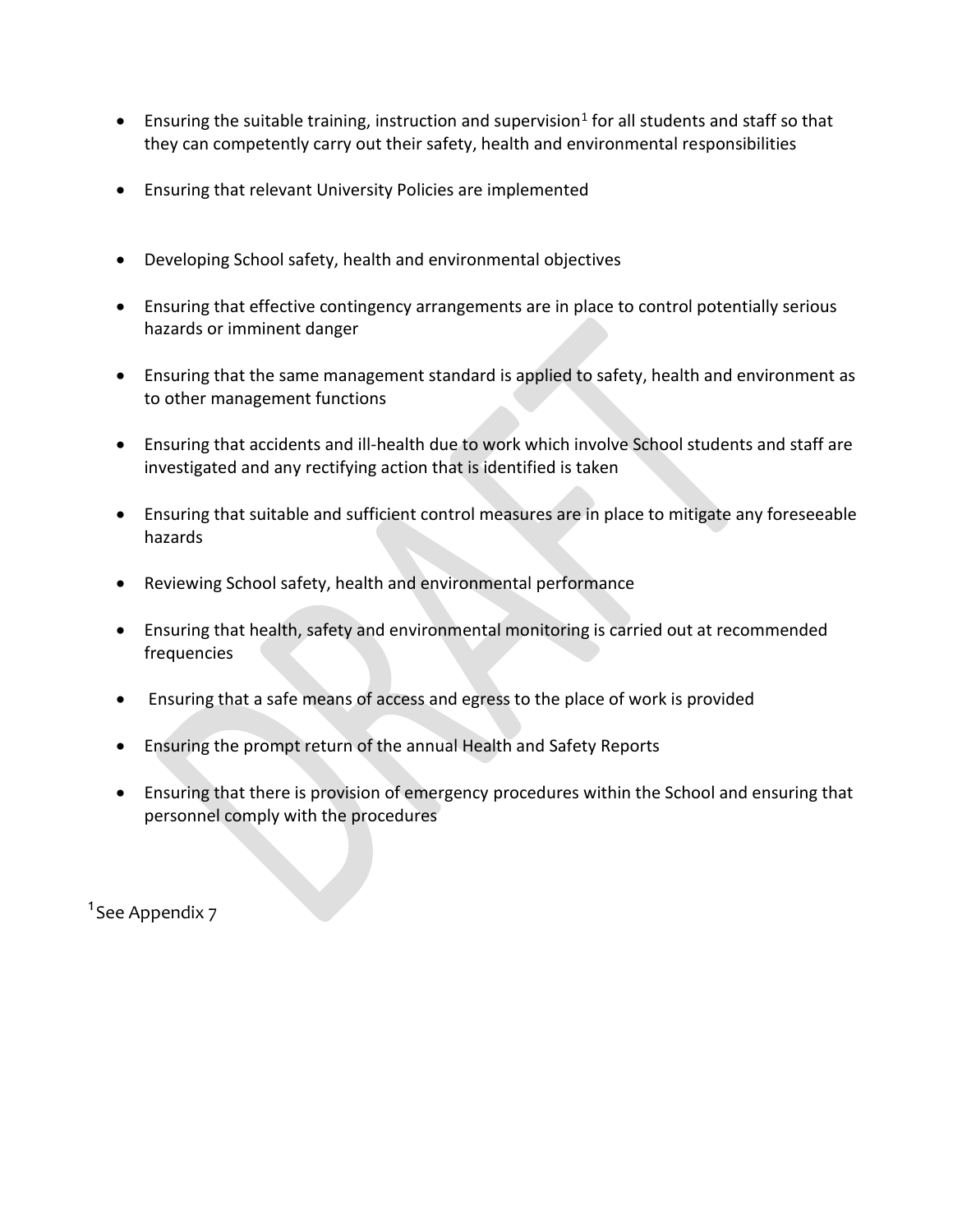- $\bullet$  Ensuring the suitable training, instruction and supervision<sup>1</sup> for all students and staff so that they can competently carry out their safety, health and environmental responsibilities
- Ensuring that relevant University Policies are implemented
- Developing School safety, health and environmental objectives
- Ensuring that effective contingency arrangements are in place to control potentially serious hazards or imminent danger
- Ensuring that the same management standard is applied to safety, health and environment as to other management functions
- Ensuring that accidents and ill-health due to work which involve School students and staff are investigated and any rectifying action that is identified is taken
- Ensuring that suitable and sufficient control measures are in place to mitigate any foreseeable hazards
- Reviewing School safety, health and environmental performance
- Ensuring that health, safety and environmental monitoring is carried out at recommended frequencies
- Ensuring that a safe means of access and egress to the place of work is provided
- Ensuring the prompt return of the annual Health and Safety Reports
- Ensuring that there is provision of emergency procedures within the School and ensuring that personnel comply with the procedures

<sup>1</sup>See Appendix 7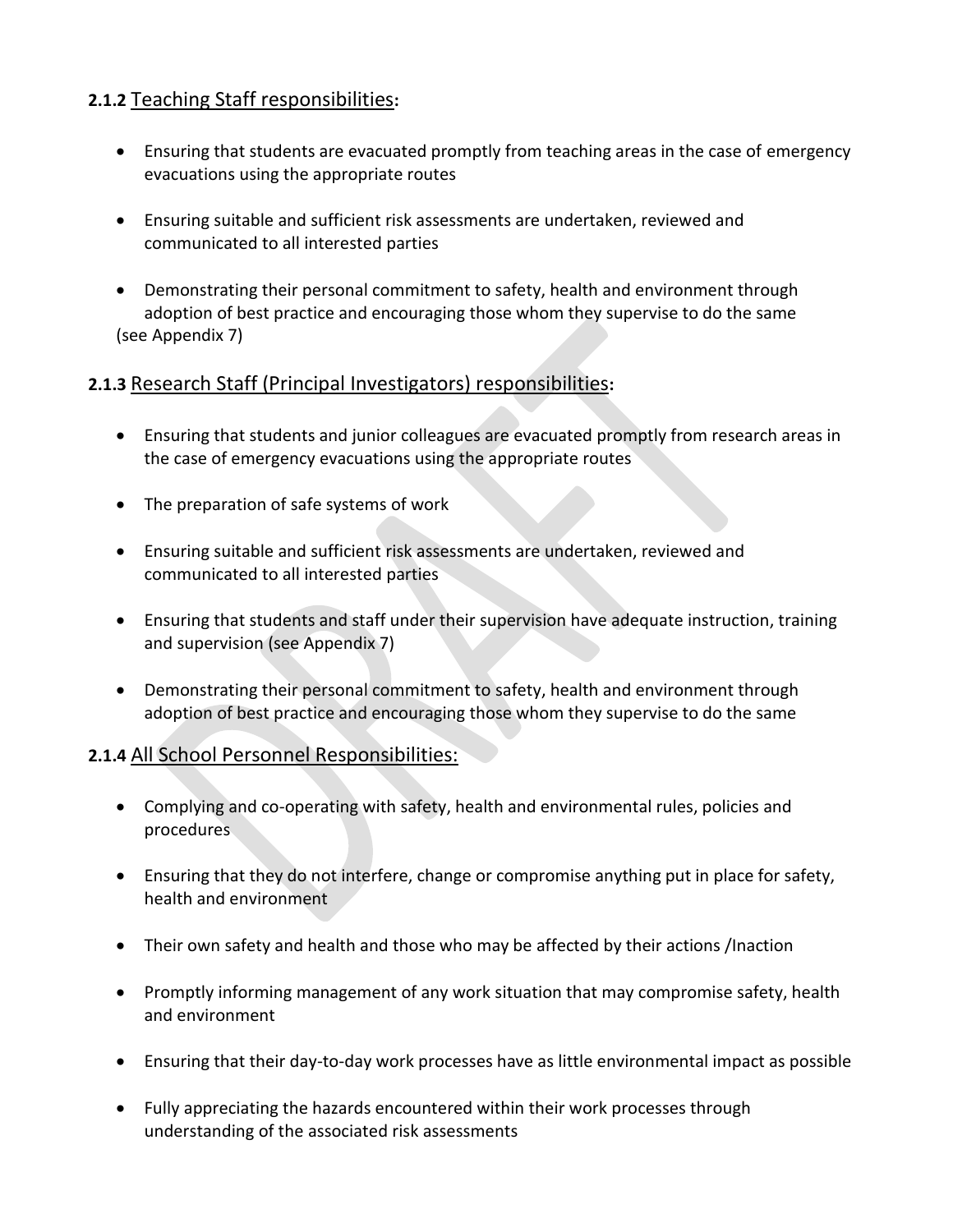# **2.1.2** Teaching Staff responsibilities**:**

- Ensuring that students are evacuated promptly from teaching areas in the case of emergency evacuations using the appropriate routes
- Ensuring suitable and sufficient risk assessments are undertaken, reviewed and communicated to all interested parties
- Demonstrating their personal commitment to safety, health and environment through adoption of best practice and encouraging those whom they supervise to do the same (see Appendix 7)

## **2.1.3** Research Staff (Principal Investigators) responsibilities**:**

- Ensuring that students and junior colleagues are evacuated promptly from research areas in the case of emergency evacuations using the appropriate routes
- The preparation of safe systems of work
- Ensuring suitable and sufficient risk assessments are undertaken, reviewed and communicated to all interested parties
- Ensuring that students and staff under their supervision have adequate instruction, training and supervision (see Appendix 7)
- Demonstrating their personal commitment to safety, health and environment through adoption of best practice and encouraging those whom they supervise to do the same

### **2.1.4** All School Personnel Responsibilities:

- Complying and co-operating with safety, health and environmental rules, policies and procedures
- Ensuring that they do not interfere, change or compromise anything put in place for safety, health and environment
- Their own safety and health and those who may be affected by their actions /Inaction
- Promptly informing management of any work situation that may compromise safety, health and environment
- Ensuring that their day-to-day work processes have as little environmental impact as possible
- Fully appreciating the hazards encountered within their work processes through understanding of the associated risk assessments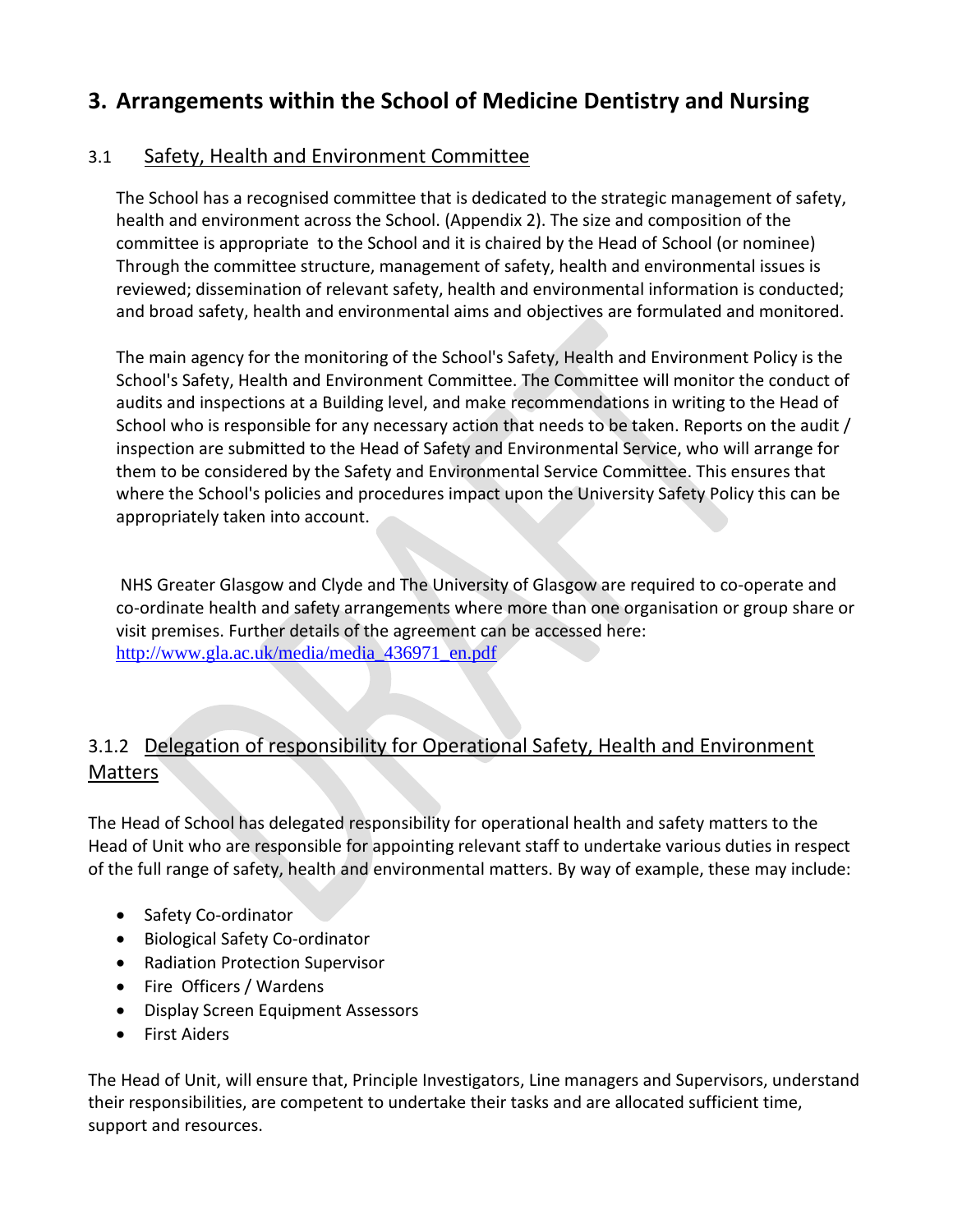# **3. Arrangements within the School of Medicine Dentistry and Nursing**

# 3.1 Safety, Health and Environment Committee

The School has a recognised committee that is dedicated to the strategic management of safety, health and environment across the School. (Appendix 2). The size and composition of the committee is appropriate to the School and it is chaired by the Head of School (or nominee) Through the committee structure, management of safety, health and environmental issues is reviewed; dissemination of relevant safety, health and environmental information is conducted; and broad safety, health and environmental aims and objectives are formulated and monitored.

The main agency for the monitoring of the School's Safety, Health and Environment Policy is the School's Safety, Health and Environment Committee. The Committee will monitor the conduct of audits and inspections at a Building level, and make recommendations in writing to the Head of School who is responsible for any necessary action that needs to be taken. Reports on the audit / inspection are submitted to the Head of Safety and Environmental Service, who will arrange for them to be considered by the Safety and Environmental Service Committee. This ensures that where the School's policies and procedures impact upon the University Safety Policy this can be appropriately taken into account.

NHS Greater Glasgow and Clyde and The University of Glasgow are required to co-operate and co-ordinate health and safety arrangements where more than one organisation or group share or visit premises. Further details of the agreement can be accessed here: [http://www.gla.ac.uk/media/media\\_436971\\_en.pdf](http://www.gla.ac.uk/media/media_436971_en.pdf)

# 3.1.2 Delegation of responsibility for Operational Safety, Health and Environment **Matters**

The Head of School has delegated responsibility for operational health and safety matters to the Head of Unit who are responsible for appointing relevant staff to undertake various duties in respect of the full range of safety, health and environmental matters. By way of example, these may include:

- Safety Co-ordinator
- Biological Safety Co-ordinator
- Radiation Protection Supervisor
- Fire Officers / Wardens
- Display Screen Equipment Assessors
- First Aiders

The Head of Unit, will ensure that, Principle Investigators, Line managers and Supervisors, understand their responsibilities, are competent to undertake their tasks and are allocated sufficient time, support and resources.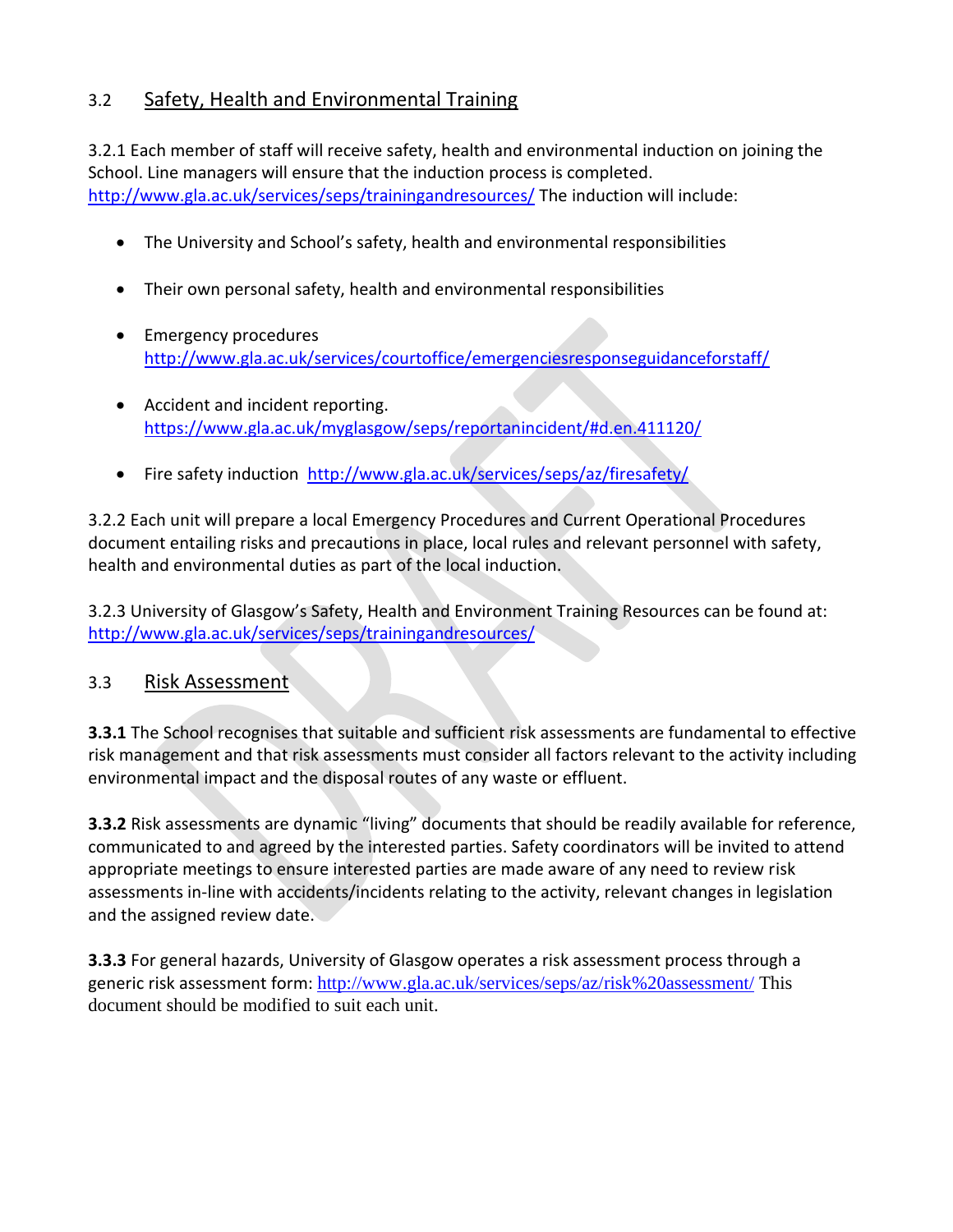# 3.2 Safety, Health and Environmental Training

3.2.1 Each member of staff will receive safety, health and environmental induction on joining the School. Line managers will ensure that the induction process is completed. <http://www.gla.ac.uk/services/seps/trainingandresources/> The induction will include:

- The University and School's safety, health and environmental responsibilities
- Their own personal safety, health and environmental responsibilities
- Emergency procedures <http://www.gla.ac.uk/services/courtoffice/emergenciesresponseguidanceforstaff/>
- Accident and incident reporting. [https://www.gla.ac.uk/myglasgow/seps/reportanincident/#d.en.411120/](https://www.gla.ac.uk/myglasgow/seps/reportanincident/#d.en.411120)
- Fire safety induction <http://www.gla.ac.uk/services/seps/az/firesafety/>

3.2.2 Each unit will prepare a local Emergency Procedures and Current Operational Procedures document entailing risks and precautions in place, local rules and relevant personnel with safety, health and environmental duties as part of the local induction.

3.2.3 University of Glasgow's Safety, Health and Environment Training Resources can be found at: <http://www.gla.ac.uk/services/seps/trainingandresources/>

### 3.3 Risk Assessment

**3.3.1** The School recognises that suitable and sufficient risk assessments are fundamental to effective risk management and that risk assessments must consider all factors relevant to the activity including environmental impact and the disposal routes of any waste or effluent.

**3.3.2** Risk assessments are dynamic "living" documents that should be readily available for reference, communicated to and agreed by the interested parties. Safety coordinators will be invited to attend appropriate meetings to ensure interested parties are made aware of any need to review risk assessments in-line with accidents/incidents relating to the activity, relevant changes in legislation and the assigned review date.

**3.3.3** For general hazards, University of Glasgow operates a risk assessment process through a generic risk assessment form: <http://www.gla.ac.uk/services/seps/az/risk%20assessment/>This document should be modified to suit each unit.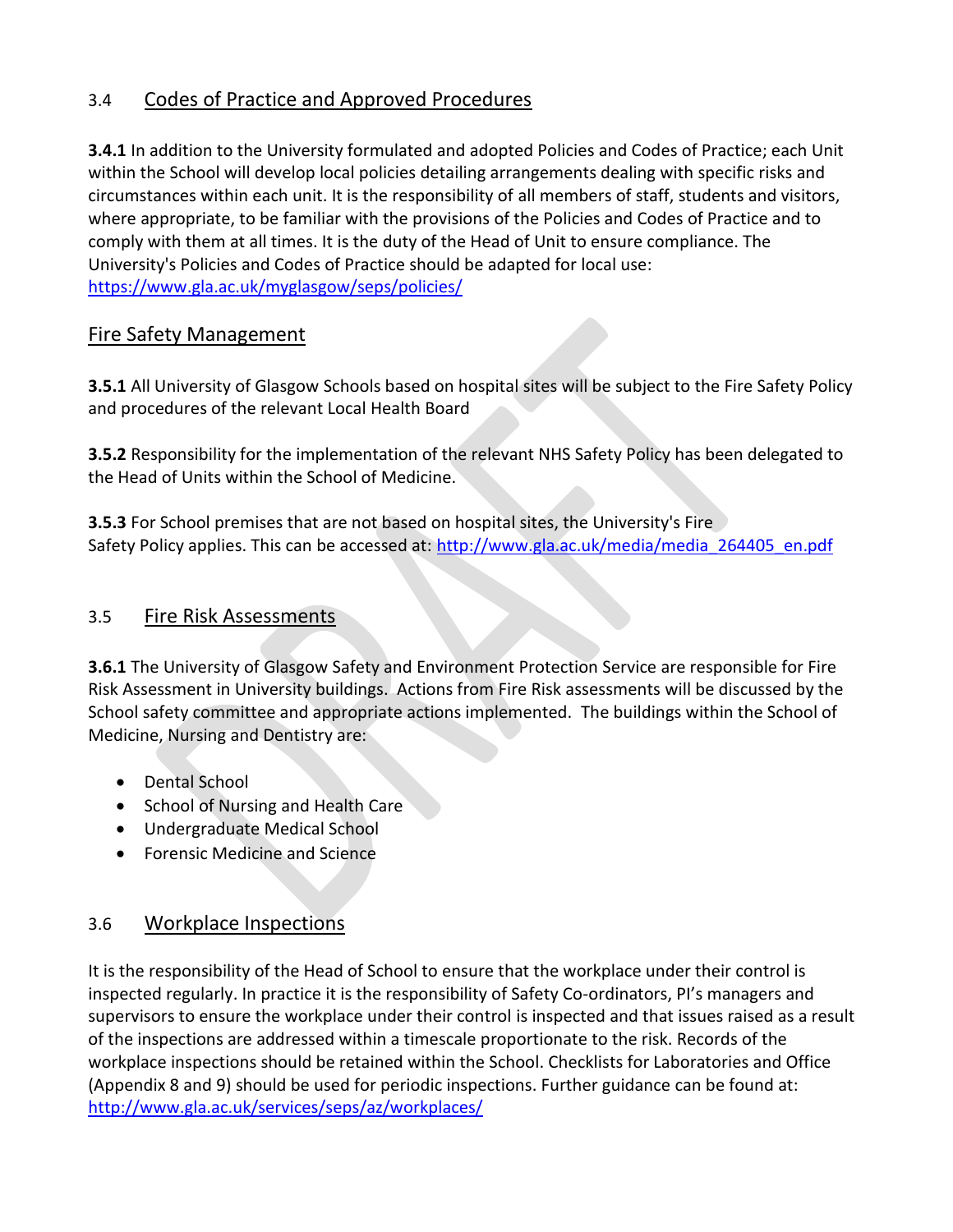# 3.4 Codes of Practice and Approved Procedures

**3.4.1** In addition to the University formulated and adopted Policies and Codes of Practice; each Unit within the School will develop local policies detailing arrangements dealing with specific risks and circumstances within each unit. It is the responsibility of all members of staff, students and visitors, where appropriate, to be familiar with the provisions of the Policies and Codes of Practice and to comply with them at all times. It is the duty of the Head of Unit to ensure compliance. The University's Policies and Codes of Practice should be adapted for local use: <https://www.gla.ac.uk/myglasgow/seps/policies/>

## Fire Safety Management

**3.5.1** All University of Glasgow Schools based on hospital sites will be subject to the Fire Safety Policy and procedures of the relevant Local Health Board

**3.5.2** Responsibility for the implementation of the relevant NHS Safety Policy has been delegated to the Head of Units within the School of Medicine.

**3.5.3** For School premises that are not based on hospital sites, the University's Fire Safety Policy applies. This can be accessed at: [http://www.gla.ac.uk/media/media\\_264405\\_en.pdf](http://www.gla.ac.uk/media/media_264405_en.pdf)

### 3.5 Fire Risk Assessments

**3.6.1** The University of Glasgow Safety and Environment Protection Service are responsible for Fire Risk Assessment in University buildings. Actions from Fire Risk assessments will be discussed by the School safety committee and appropriate actions implemented. The buildings within the School of Medicine, Nursing and Dentistry are:

- Dental School
- School of Nursing and Health Care
- Undergraduate Medical School
- Forensic Medicine and Science

### 3.6 Workplace Inspections

It is the responsibility of the Head of School to ensure that the workplace under their control is inspected regularly. In practice it is the responsibility of Safety Co-ordinators, PI's managers and supervisors to ensure the workplace under their control is inspected and that issues raised as a result of the inspections are addressed within a timescale proportionate to the risk. Records of the workplace inspections should be retained within the School. Checklists for Laboratories and Office (Appendix 8 and 9) should be used for periodic inspections. Further guidance can be found at: <http://www.gla.ac.uk/services/seps/az/workplaces/>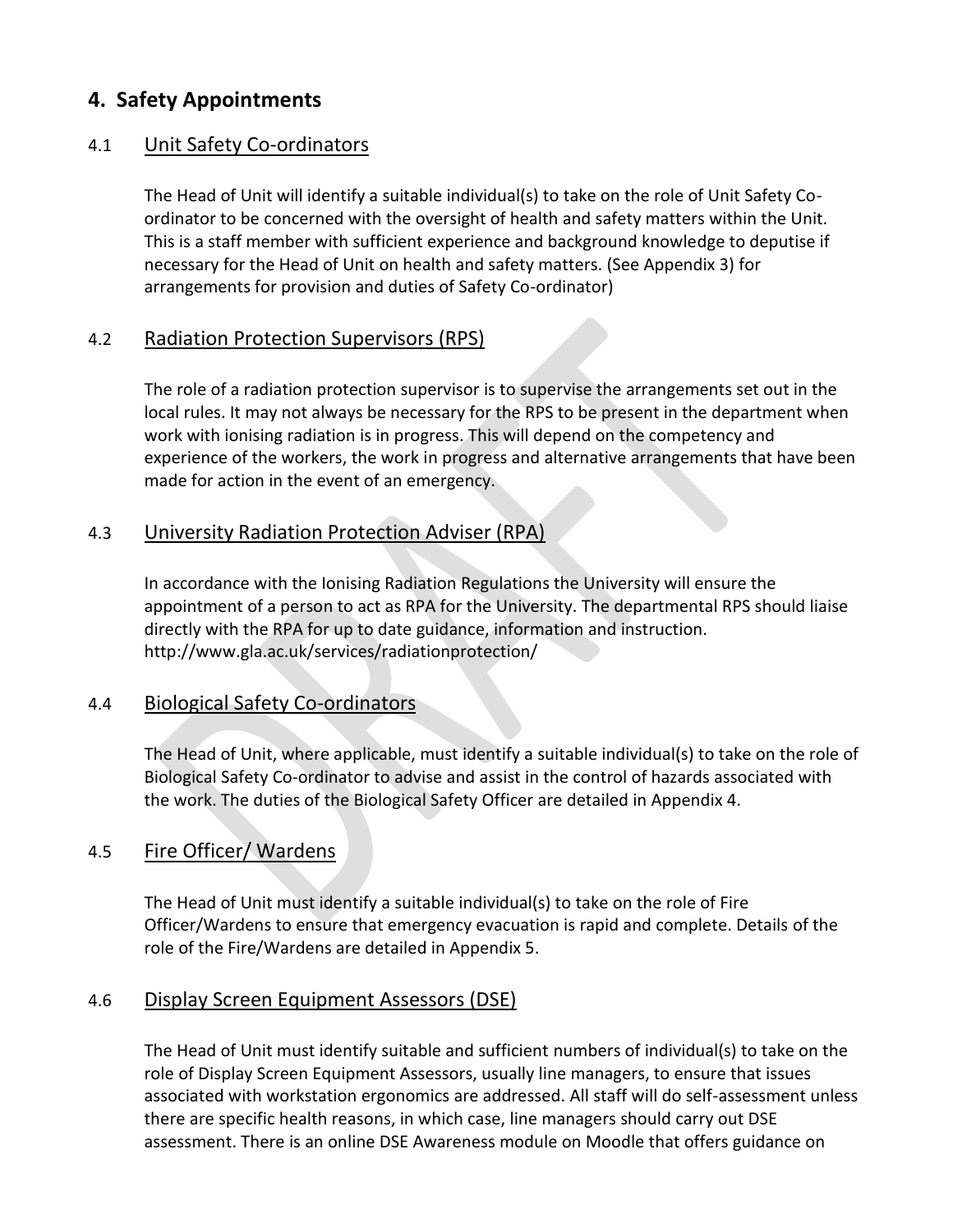# **4. Safety Appointments**

### 4.1 Unit Safety Co-ordinators

The Head of Unit will identify a suitable individual(s) to take on the role of Unit Safety Coordinator to be concerned with the oversight of health and safety matters within the Unit. This is a staff member with sufficient experience and background knowledge to deputise if necessary for the Head of Unit on health and safety matters. (See Appendix 3) for arrangements for provision and duties of Safety Co-ordinator)

## 4.2 Radiation Protection Supervisors (RPS)

The role of a radiation protection supervisor is to supervise the arrangements set out in the local rules. It may not always be necessary for the RPS to be present in the department when work with ionising radiation is in progress. This will depend on the competency and experience of the workers, the work in progress and alternative arrangements that have been made for action in the event of an emergency.

## 4.3 University Radiation Protection Adviser (RPA)

In accordance with the Ionising Radiation Regulations the University will ensure the appointment of a person to act as RPA for the University. The departmental RPS should liaise directly with the RPA for up to date guidance, information and instruction. <http://www.gla.ac.uk/services/radiationprotection/>

### 4.4 Biological Safety Co-ordinators

The Head of Unit, where applicable, must identify a suitable individual(s) to take on the role of Biological Safety Co-ordinator to advise and assist in the control of hazards associated with the work. The duties of the Biological Safety Officer are detailed in Appendix 4.

## 4.5 Fire Officer/ Wardens

The Head of Unit must identify a suitable individual(s) to take on the role of Fire Officer/Wardens to ensure that emergency evacuation is rapid and complete. Details of the role of the Fire/Wardens are detailed in Appendix 5.

### 4.6 Display Screen Equipment Assessors (DSE)

The Head of Unit must identify suitable and sufficient numbers of individual(s) to take on the role of Display Screen Equipment Assessors, usually line managers, to ensure that issues associated with workstation ergonomics are addressed. All staff will do self-assessment unless there are specific health reasons, in which case, line managers should carry out DSE assessment. There is an online DSE Awareness module on Moodle that offers guidance on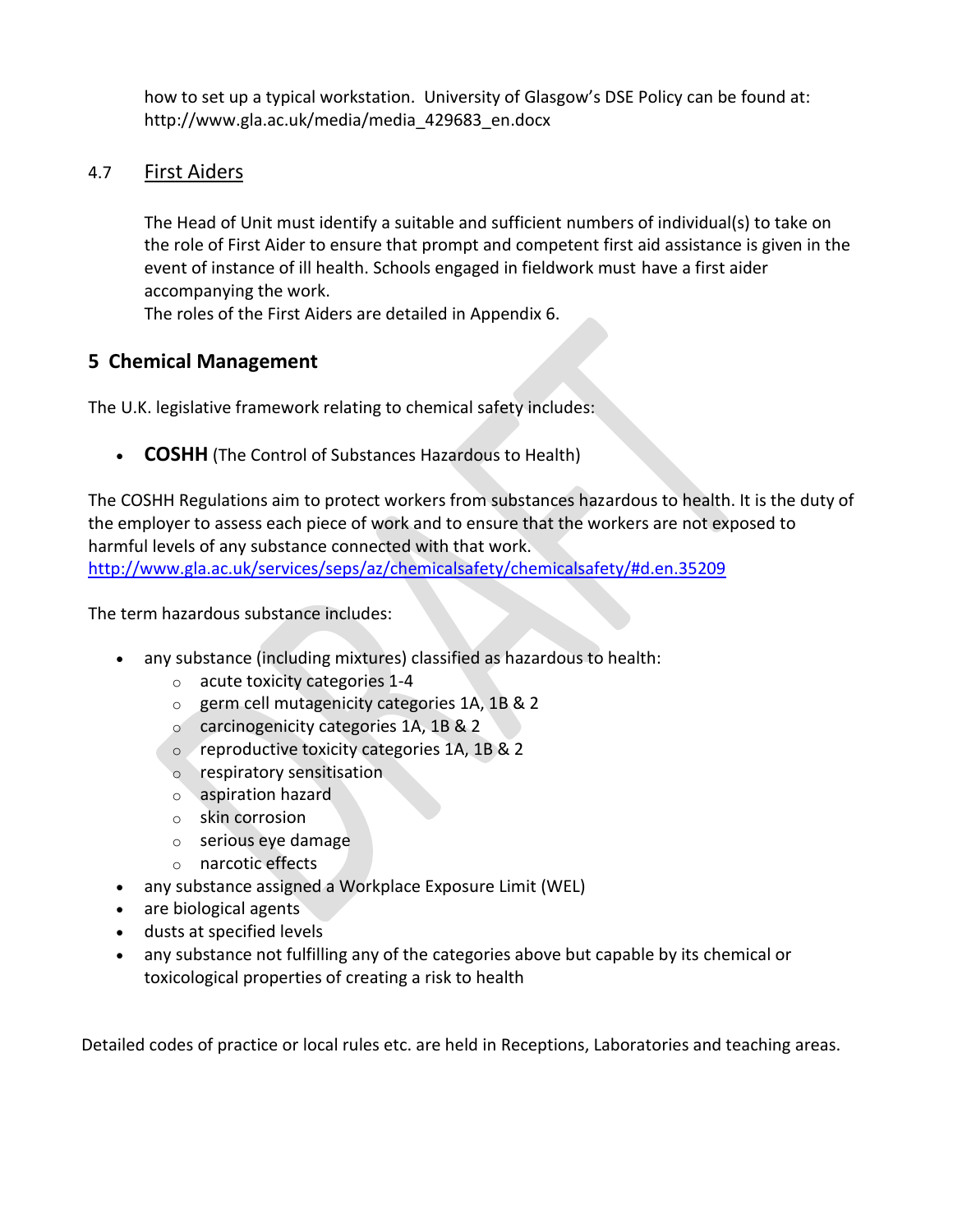how to set up a typical workstation. University of Glasgow's DSE Policy can be found at: [http://www.gla.ac.uk/media/media\\_429683\\_en.docx](http://www.gla.ac.uk/media/media_429683_en.docx) 

### 4.7 First Aiders

The Head of Unit must identify a suitable and sufficient numbers of individual(s) to take on the role of First Aider to ensure that prompt and competent first aid assistance is given in the event of instance of ill health. Schools engaged in fieldwork must have a first aider accompanying the work.

The roles of the First Aiders are detailed in Appendix 6.

## **5 Chemical Management**

The U.K. legislative framework relating to chemical safety includes:

• **COSHH** (The Control of Substances Hazardous to Health)

The COSHH Regulations aim to protect workers from substances hazardous to health. It is the duty of the employer to assess each piece of work and to ensure that the workers are not exposed to harmful levels of any substance connected with that work. <http://www.gla.ac.uk/services/seps/az/chemicalsafety/chemicalsafety/#d.en.35209>

The term hazardous substance includes:

- any substance (including mixtures) classified as hazardous to health:
	- o acute toxicity categories 1-4
	- o germ cell mutagenicity categories 1A, 1B & 2
	- o carcinogenicity categories 1A, 1B & 2
	- o reproductive toxicity categories 1A, 1B & 2
	- o respiratory sensitisation
	- o aspiration hazard
	- o skin corrosion
	- o serious eye damage
	- o narcotic effects
- any substance assigned a Workplace Exposure Limit (WEL)
- are biological agents
- dusts at specified levels
- any substance not fulfilling any of the categories above but capable by its chemical or toxicological properties of creating a risk to health

Detailed codes of practice or local rules etc. are held in Receptions, Laboratories and teaching areas.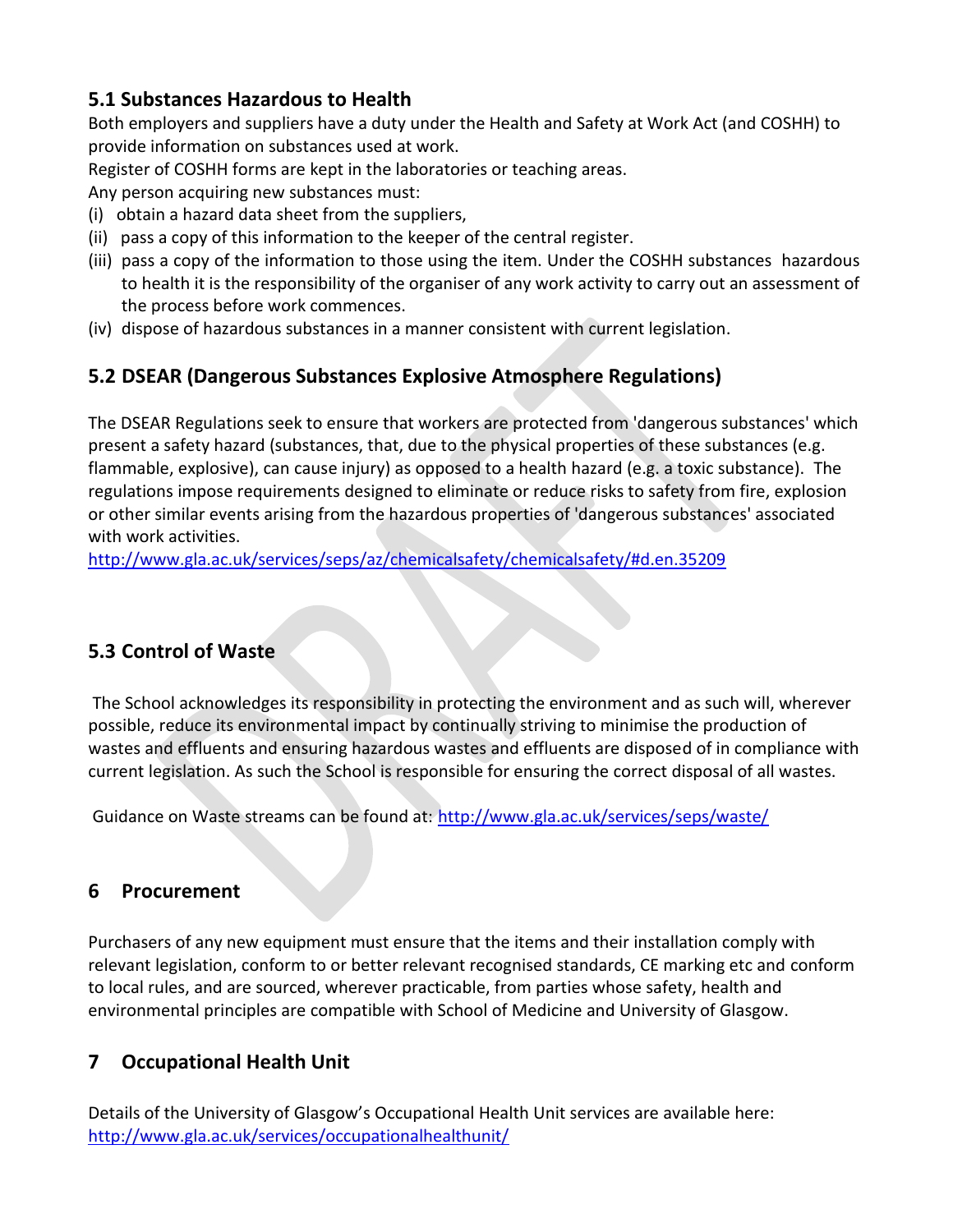# **5.1 Substances Hazardous to Health**

Both employers and suppliers have a duty under the Health and Safety at Work Act (and COSHH) to provide information on substances used at work.

Register of COSHH forms are kept in the laboratories or teaching areas.

Any person acquiring new substances must:

- (i) obtain a hazard data sheet from the suppliers,
- (ii) pass a copy of this information to the keeper of the central register.
- (iii) pass a copy of the information to those using the item. Under the COSHH substances hazardous to health it is the responsibility of the organiser of any work activity to carry out an assessment of the process before work commences.
- (iv) dispose of hazardous substances in a manner consistent with current legislation.

# **5.2 DSEAR (Dangerous Substances Explosive Atmosphere Regulations)**

The DSEAR Regulations seek to ensure that workers are protected from 'dangerous substances' which present a safety hazard (substances, that, due to the physical properties of these substances (e.g. flammable, explosive), can cause injury) as opposed to a health hazard (e.g. a toxic substance). The regulations impose requirements designed to eliminate or reduce risks to safety from fire, explosion or other similar events arising from the hazardous properties of 'dangerous substances' associated with work activities.

<http://www.gla.ac.uk/services/seps/az/chemicalsafety/chemicalsafety/#d.en.35209>

# **5.3 Control of Waste**

The School acknowledges its responsibility in protecting the environment and as such will, wherever possible, reduce its environmental impact by continually striving to minimise the production of wastes and effluents and ensuring hazardous wastes and effluents are disposed of in compliance with current legislation. As such the School is responsible for ensuring the correct disposal of all wastes.

Guidance on Waste streams can be found at: <http://www.gla.ac.uk/services/seps/waste/>

# **6 Procurement**

Purchasers of any new equipment must ensure that the items and their installation comply with relevant legislation, conform to or better relevant recognised standards, CE marking etc and conform to local rules, and are sourced, wherever practicable, from parties whose safety, health and environmental principles are compatible with School of Medicine and University of Glasgow.

# **7 Occupational Health Unit**

Details of the University of Glasgow's Occupational Health Unit services are available here: <http://www.gla.ac.uk/services/occupationalhealthunit/>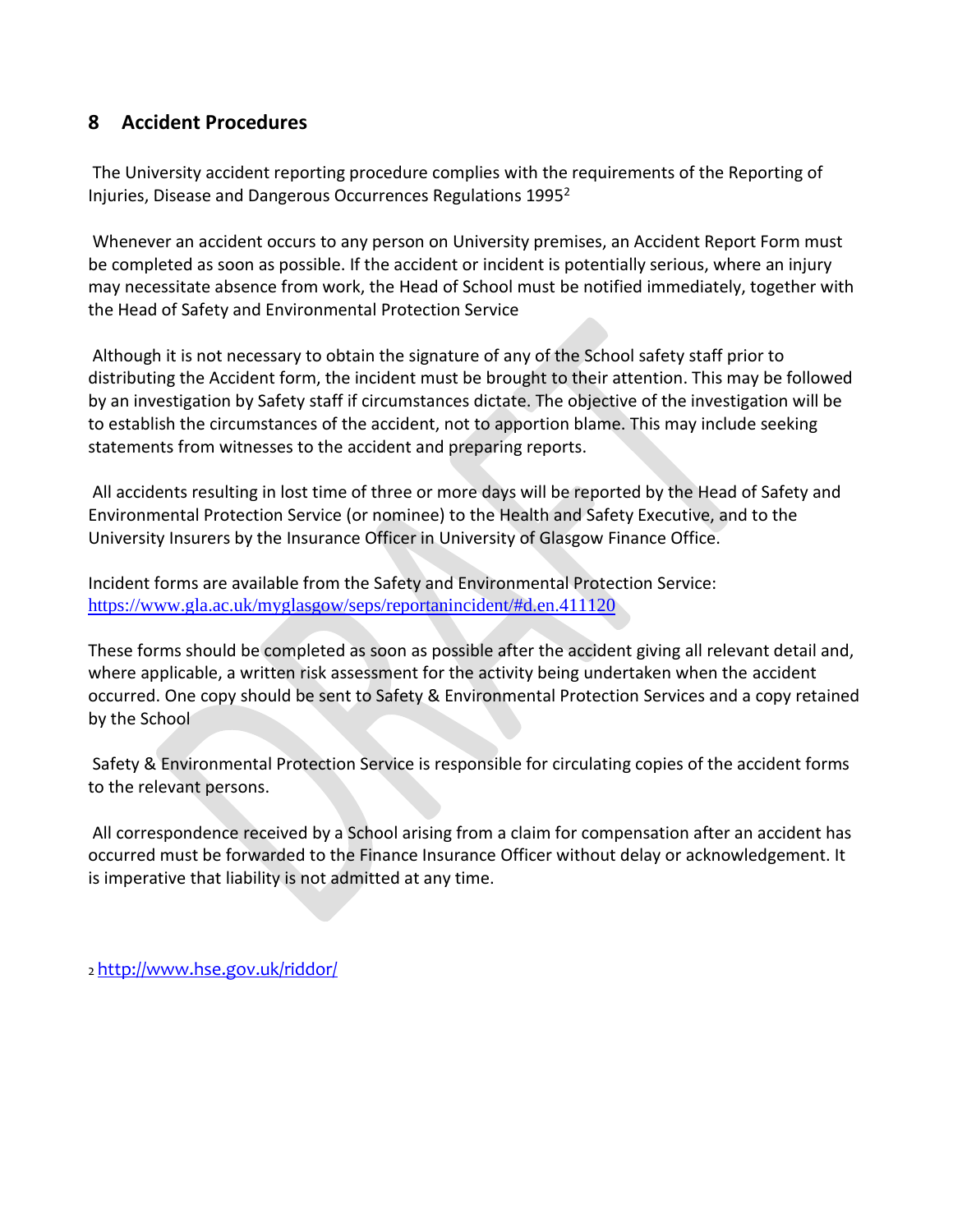## **8 Accident Procedures**

The University accident reporting procedure complies with the requirements of the Reporting of Injuries, Disease and Dangerous Occurrences Regulations 1995<sup>2</sup>

Whenever an accident occurs to any person on University premises, an Accident Report Form must be completed as soon as possible. If the accident or incident is potentially serious, where an injury may necessitate absence from work, the Head of School must be notified immediately, together with the Head of Safety and Environmental Protection Service

Although it is not necessary to obtain the signature of any of the School safety staff prior to distributing the Accident form, the incident must be brought to their attention. This may be followed by an investigation by Safety staff if circumstances dictate. The objective of the investigation will be to establish the circumstances of the accident, not to apportion blame. This may include seeking statements from witnesses to the accident and preparing reports.

All accidents resulting in lost time of three or more days will be reported by the Head of Safety and Environmental Protection Service (or nominee) to the Health and Safety Executive, and to the University Insurers by the Insurance Officer in University of Glasgow Finance Office.

Incident forms are available from the Safety and Environmental Protection Service: <https://www.gla.ac.uk/myglasgow/seps/reportanincident/#d.en.411120>

These forms should be completed as soon as possible after the accident giving all relevant detail and, where applicable, a written risk assessment for the activity being undertaken when the accident occurred. One copy should be sent to Safety & Environmental Protection Services and a copy retained by the School

Safety & Environmental Protection Service is responsible for circulating copies of the accident forms to the relevant persons.

All correspondence received by a School arising from a claim for compensation after an accident has occurred must be forwarded to the Finance Insurance Officer without delay or acknowledgement. It is imperative that liability is not admitted at any time.

2 <http://www.hse.gov.uk/riddor/>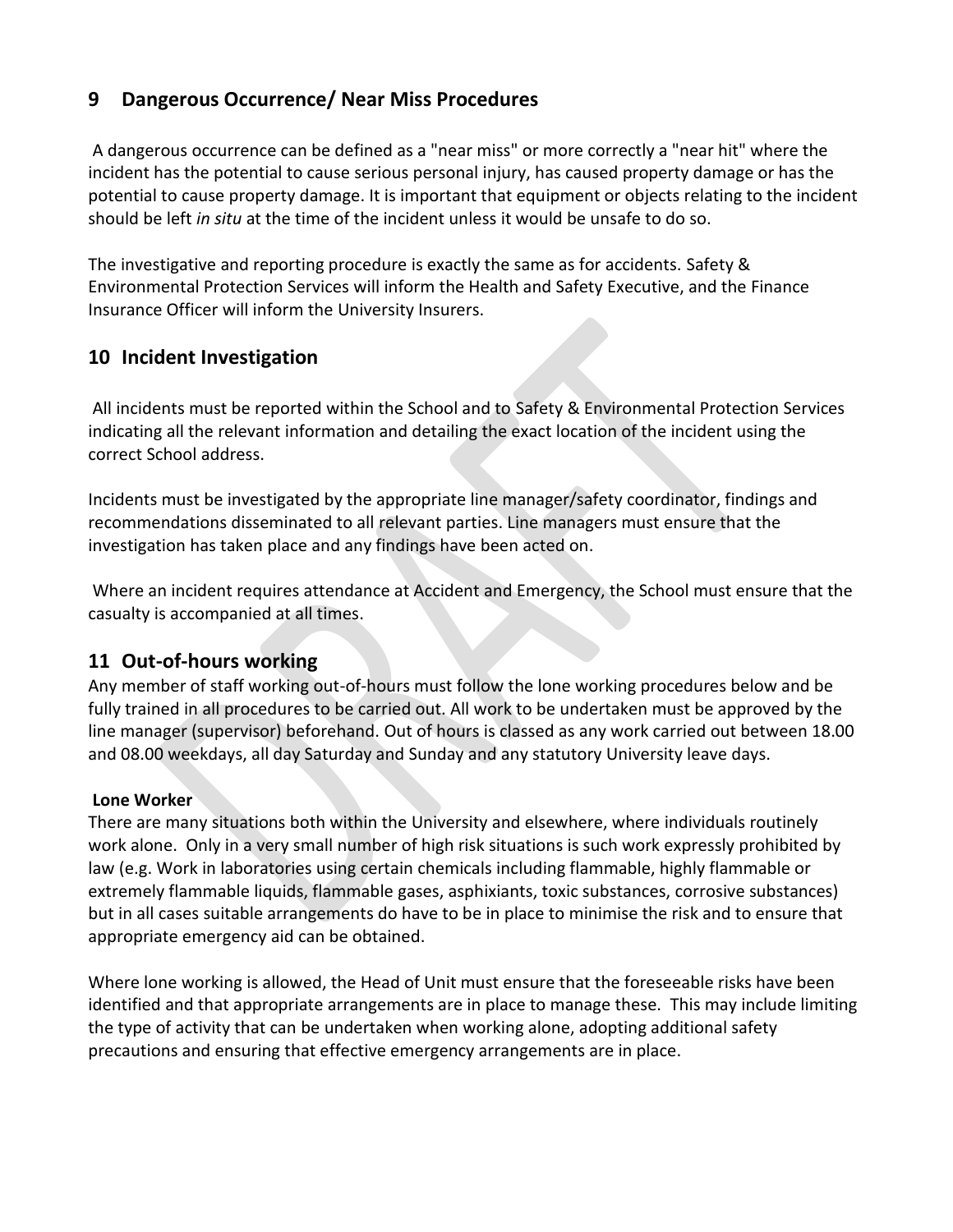# **9 Dangerous Occurrence/ Near Miss Procedures**

A dangerous occurrence can be defined as a "near miss" or more correctly a "near hit" where the incident has the potential to cause serious personal injury, has caused property damage or has the potential to cause property damage. It is important that equipment or objects relating to the incident should be left *in situ* at the time of the incident unless it would be unsafe to do so.

The investigative and reporting procedure is exactly the same as for accidents. Safety & Environmental Protection Services will inform the Health and Safety Executive, and the Finance Insurance Officer will inform the University Insurers.

# **10 Incident Investigation**

All incidents must be reported within the School and to Safety & Environmental Protection Services indicating all the relevant information and detailing the exact location of the incident using the correct School address.

Incidents must be investigated by the appropriate line manager/safety coordinator, findings and recommendations disseminated to all relevant parties. Line managers must ensure that the investigation has taken place and any findings have been acted on.

Where an incident requires attendance at Accident and Emergency, the School must ensure that the casualty is accompanied at all times.

# **11 Out-of-hours working**

Any member of staff working out-of-hours must follow the lone working procedures below and be fully trained in all procedures to be carried out. All work to be undertaken must be approved by the line manager (supervisor) beforehand. Out of hours is classed as any work carried out between 18.00 and 08.00 weekdays, all day Saturday and Sunday and any statutory University leave days.

### **Lone Worker**

There are many situations both within the University and elsewhere, where individuals routinely work alone. Only in a very small number of high risk situations is such work expressly prohibited by law (e.g. Work in laboratories using certain chemicals including flammable, highly flammable or extremely flammable liquids, flammable gases, asphixiants, toxic substances, corrosive substances) but in all cases suitable arrangements do have to be in place to minimise the risk and to ensure that appropriate emergency aid can be obtained.

Where lone working is allowed, the Head of Unit must ensure that the foreseeable risks have been identified and that appropriate arrangements are in place to manage these. This may include limiting the type of activity that can be undertaken when working alone, adopting additional safety precautions and ensuring that effective emergency arrangements are in place.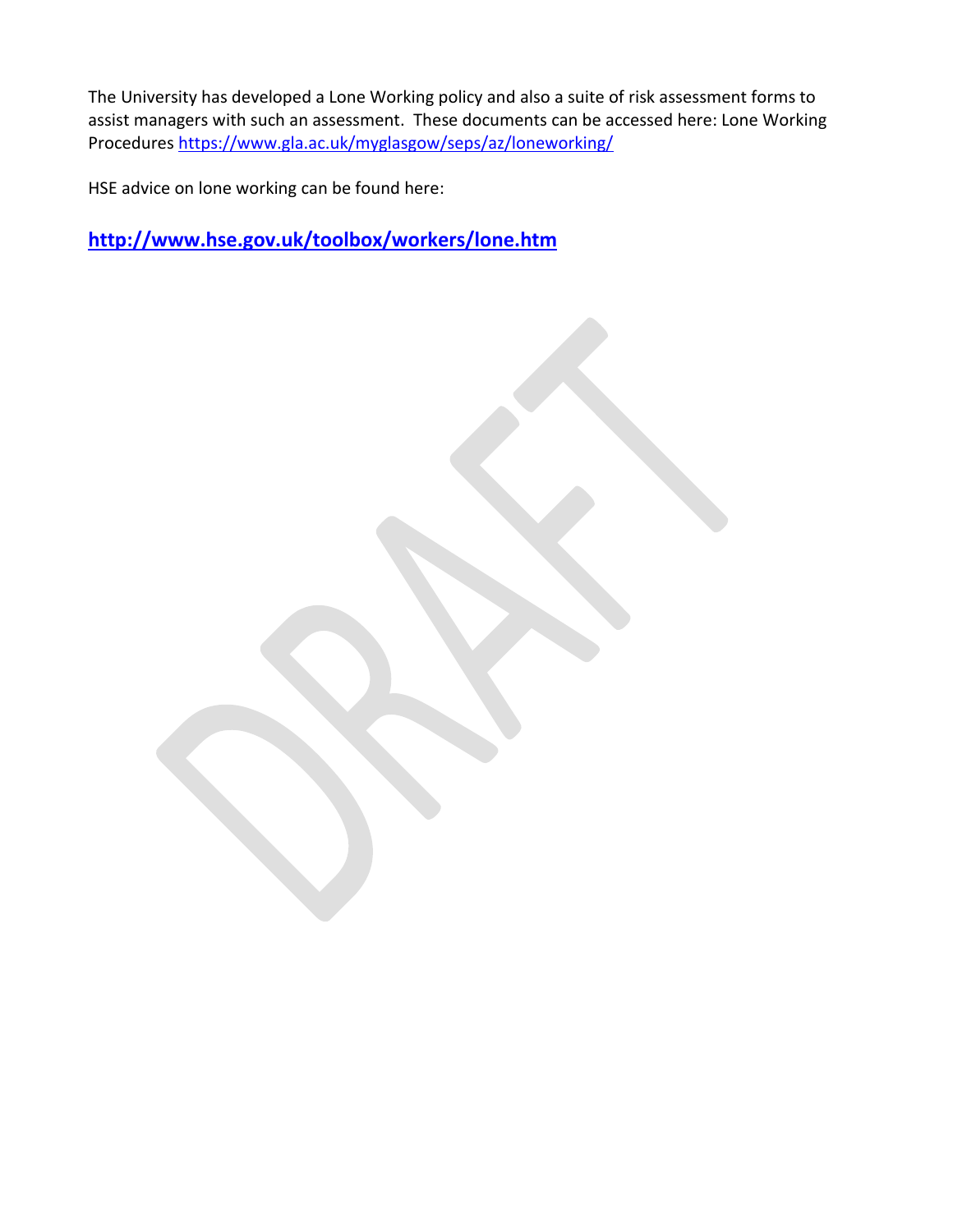The University has developed a Lone Working policy and also a suite of risk assessment forms to assist managers with such an assessment. These documents can be accessed here: Lone Working Procedures<https://www.gla.ac.uk/myglasgow/seps/az/loneworking/>

HSE advice on lone working can be found here:

**<http://www.hse.gov.uk/toolbox/workers/lone.htm>**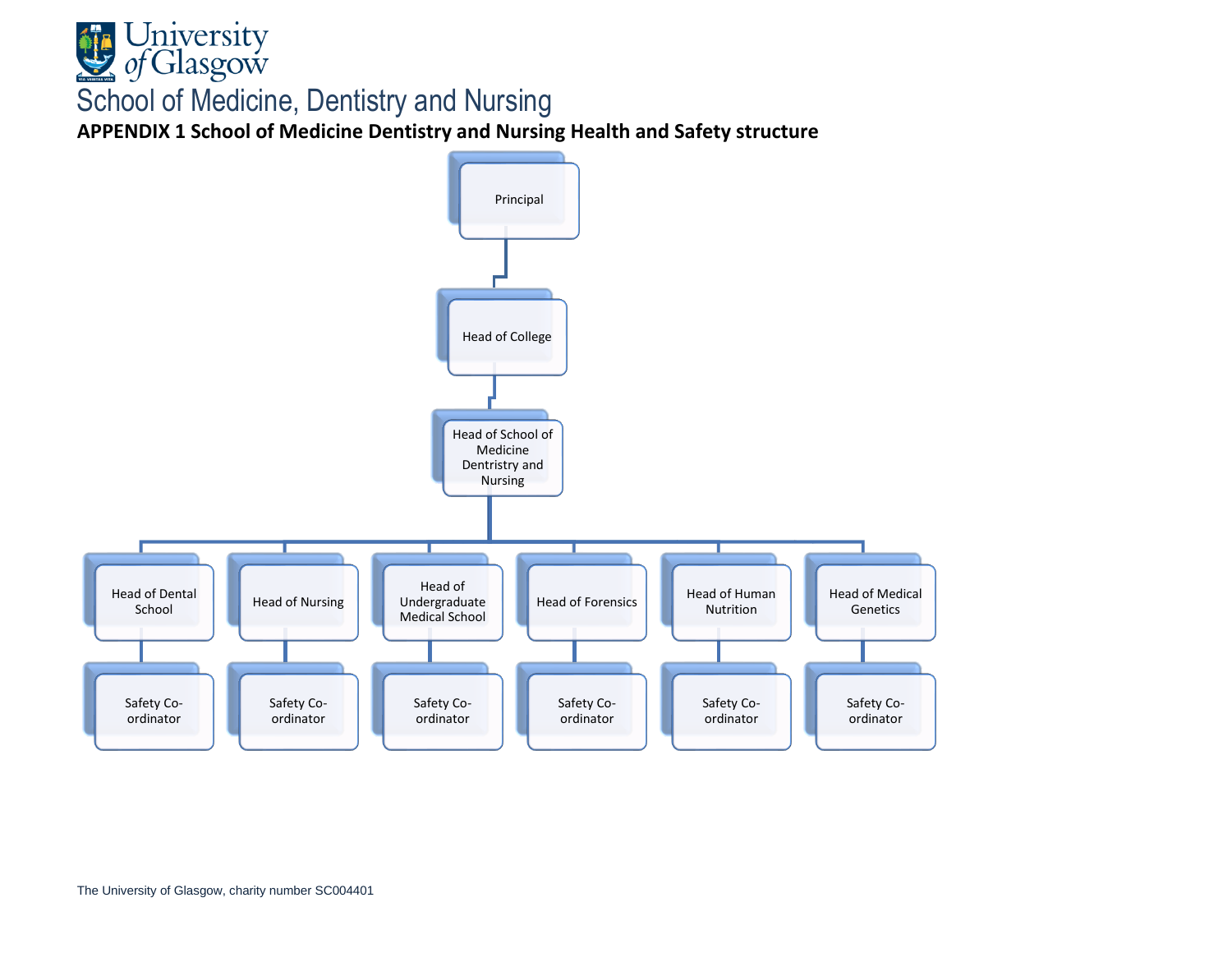

**APPENDIX 1 School of Medicine Dentistry and Nursing Health and Safety structure**

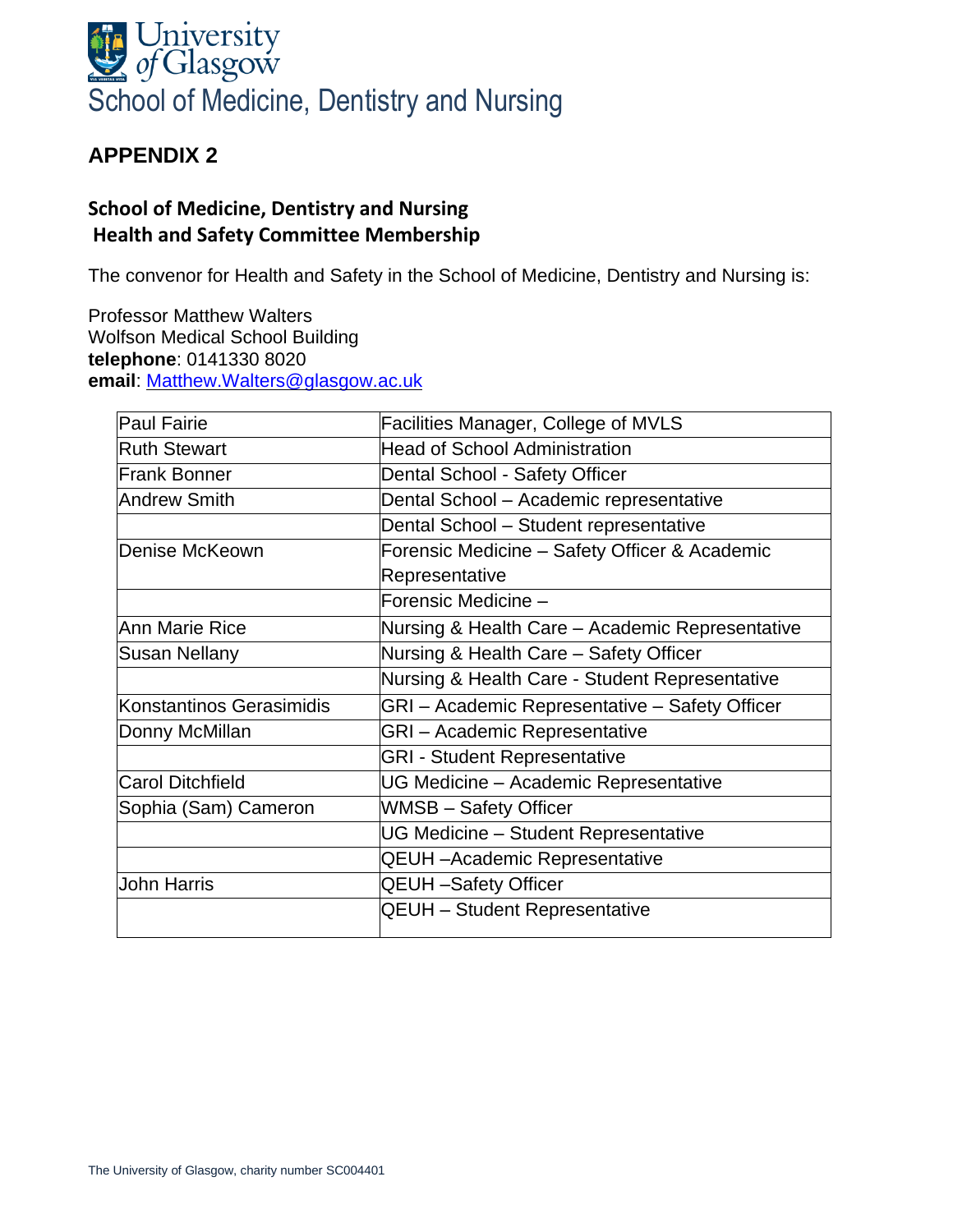

# **School of Medicine, Dentistry and Nursing Health and Safety Committee Membership**

The convenor for Health and Safety in the School of Medicine, Dentistry and Nursing is:

Professor Matthew Walters Wolfson Medical School Building **telephone**: 0141330 8020 **email**: [Matthew.Walters@glasgow.ac.uk](mailto:Matthew.Walters@glasgow.ac.uk)

| <b>Paul Fairie</b>       | <b>Facilities Manager, College of MVLS</b>      |
|--------------------------|-------------------------------------------------|
| <b>Ruth Stewart</b>      | <b>Head of School Administration</b>            |
| <b>Frank Bonner</b>      | Dental School - Safety Officer                  |
| <b>Andrew Smith</b>      | Dental School - Academic representative         |
|                          | Dental School - Student representative          |
| Denise McKeown           | Forensic Medicine - Safety Officer & Academic   |
|                          | Representative                                  |
|                          | Forensic Medicine -                             |
| Ann Marie Rice           | Nursing & Health Care - Academic Representative |
| Susan Nellany            | Nursing & Health Care - Safety Officer          |
|                          | Nursing & Health Care - Student Representative  |
| Konstantinos Gerasimidis | GRI - Academic Representative - Safety Officer  |
| Donny McMillan           | <b>GRI</b> - Academic Representative            |
|                          | <b>GRI - Student Representative</b>             |
| <b>Carol Ditchfield</b>  | UG Medicine - Academic Representative           |
| Sophia (Sam) Cameron     | WMSB - Safety Officer                           |
|                          | UG Medicine - Student Representative            |
|                          | <b>QEUH</b> - Academic Representative           |
| John Harris              | <b>QEUH-Safety Officer</b>                      |
|                          | <b>QEUH</b> - Student Representative            |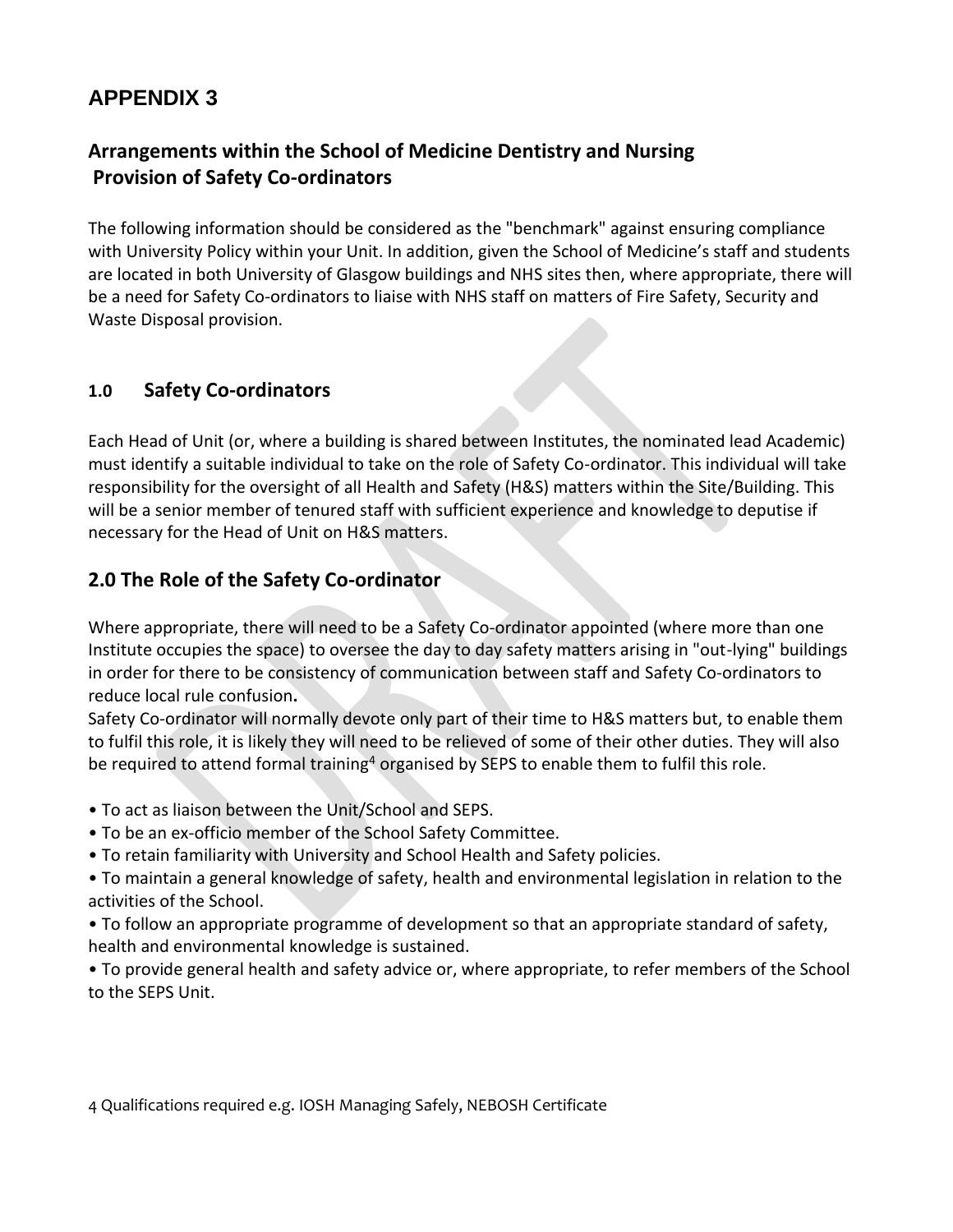# **Arrangements within the School of Medicine Dentistry and Nursing Provision of Safety Co-ordinators**

The following information should be considered as the "benchmark" against ensuring compliance with University Policy within your Unit. In addition, given the School of Medicine's staff and students are located in both University of Glasgow buildings and NHS sites then, where appropriate, there will be a need for Safety Co-ordinators to liaise with NHS staff on matters of Fire Safety, Security and Waste Disposal provision.

# **1.0 Safety Co-ordinators**

Each Head of Unit (or, where a building is shared between Institutes, the nominated lead Academic) must identify a suitable individual to take on the role of Safety Co-ordinator. This individual will take responsibility for the oversight of all Health and Safety (H&S) matters within the Site/Building. This will be a senior member of tenured staff with sufficient experience and knowledge to deputise if necessary for the Head of Unit on H&S matters.

## **2.0 The Role of the Safety Co-ordinator**

Where appropriate, there will need to be a Safety Co-ordinator appointed (where more than one Institute occupies the space) to oversee the day to day safety matters arising in "out-lying" buildings in order for there to be consistency of communication between staff and Safety Co-ordinators to reduce local rule confusion**.**

Safety Co-ordinator will normally devote only part of their time to H&S matters but, to enable them to fulfil this role, it is likely they will need to be relieved of some of their other duties. They will also be required to attend formal training<sup>4</sup> organised by SEPS to enable them to fulfil this role.

- To act as liaison between the Unit/School and SEPS.
- To be an ex-officio member of the School Safety Committee.
- To retain familiarity with University and School Health and Safety policies.
- To maintain a general knowledge of safety, health and environmental legislation in relation to the activities of the School.

• To follow an appropriate programme of development so that an appropriate standard of safety, health and environmental knowledge is sustained.

• To provide general health and safety advice or, where appropriate, to refer members of the School to the SEPS Unit.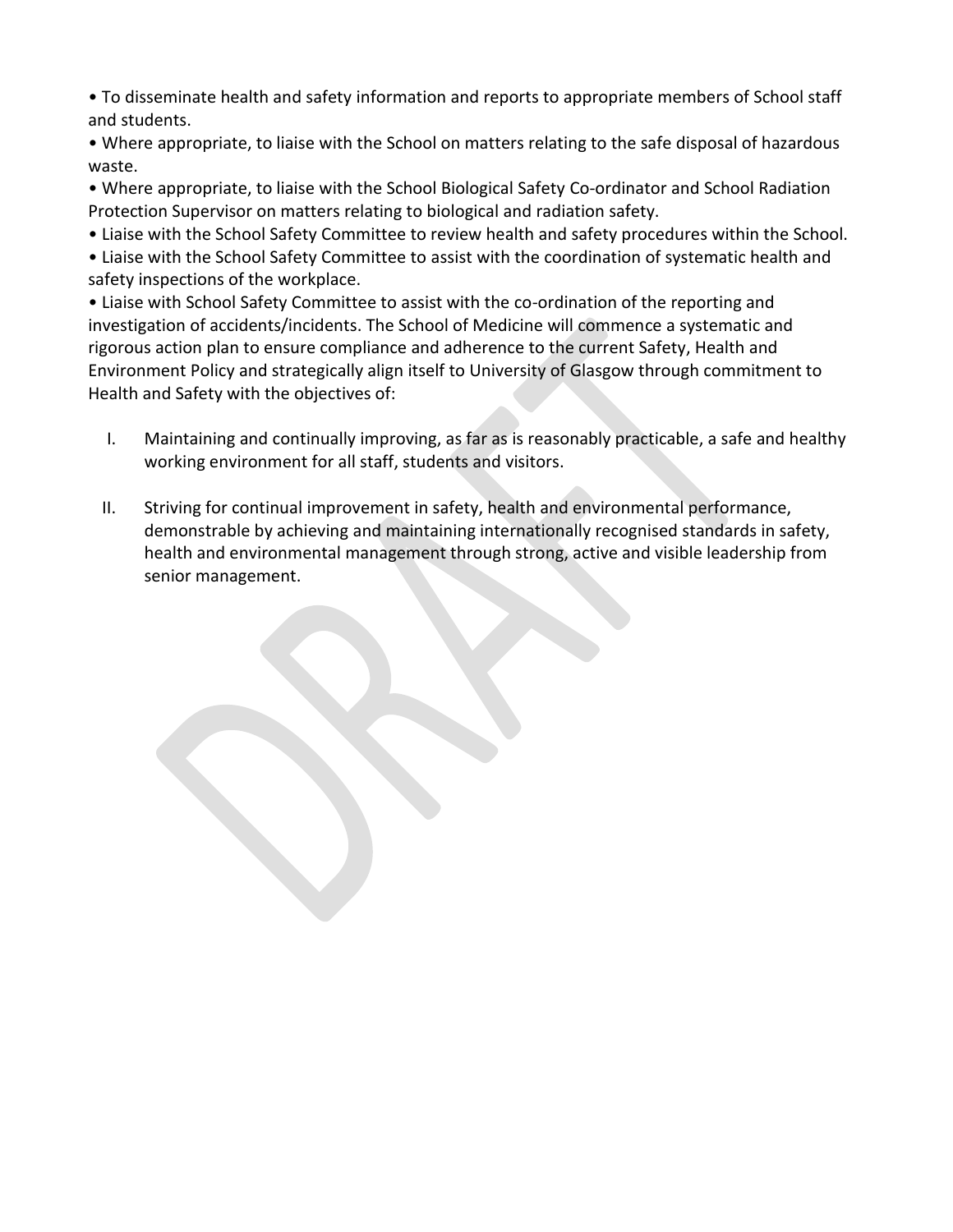• To disseminate health and safety information and reports to appropriate members of School staff and students.

• Where appropriate, to liaise with the School on matters relating to the safe disposal of hazardous waste.

• Where appropriate, to liaise with the School Biological Safety Co-ordinator and School Radiation Protection Supervisor on matters relating to biological and radiation safety.

• Liaise with the School Safety Committee to review health and safety procedures within the School.

• Liaise with the School Safety Committee to assist with the coordination of systematic health and safety inspections of the workplace.

• Liaise with School Safety Committee to assist with the co-ordination of the reporting and investigation of accidents/incidents. The School of Medicine will commence a systematic and rigorous action plan to ensure compliance and adherence to the current Safety, Health and Environment Policy and strategically align itself to University of Glasgow through commitment to Health and Safety with the objectives of:

- I. Maintaining and continually improving, as far as is reasonably practicable, a safe and healthy working environment for all staff, students and visitors.
- II. Striving for continual improvement in safety, health and environmental performance, demonstrable by achieving and maintaining internationally recognised standards in safety, health and environmental management through strong, active and visible leadership from senior management.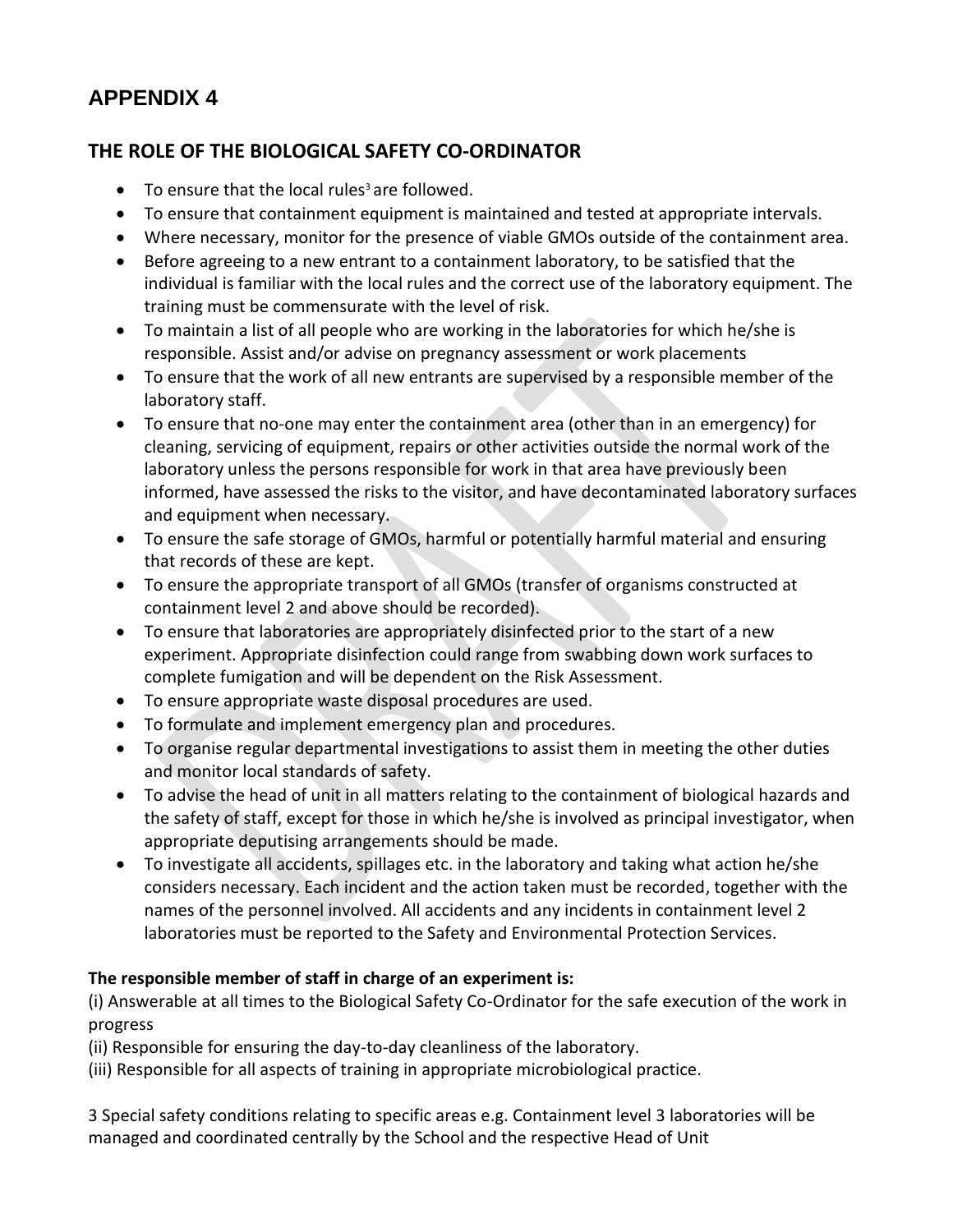# **THE ROLE OF THE BIOLOGICAL SAFETY CO-ORDINATOR**

- To ensure that the local rules<sup>3</sup> are followed.
- To ensure that containment equipment is maintained and tested at appropriate intervals.
- Where necessary, monitor for the presence of viable GMOs outside of the containment area.
- Before agreeing to a new entrant to a containment laboratory, to be satisfied that the individual is familiar with the local rules and the correct use of the laboratory equipment. The training must be commensurate with the level of risk.
- To maintain a list of all people who are working in the laboratories for which he/she is responsible. Assist and/or advise on pregnancy assessment or work placements
- To ensure that the work of all new entrants are supervised by a responsible member of the laboratory staff.
- To ensure that no-one may enter the containment area (other than in an emergency) for cleaning, servicing of equipment, repairs or other activities outside the normal work of the laboratory unless the persons responsible for work in that area have previously been informed, have assessed the risks to the visitor, and have decontaminated laboratory surfaces and equipment when necessary.
- To ensure the safe storage of GMOs, harmful or potentially harmful material and ensuring that records of these are kept.
- To ensure the appropriate transport of all GMOs (transfer of organisms constructed at containment level 2 and above should be recorded).
- To ensure that laboratories are appropriately disinfected prior to the start of a new experiment. Appropriate disinfection could range from swabbing down work surfaces to complete fumigation and will be dependent on the Risk Assessment.
- To ensure appropriate waste disposal procedures are used.
- To formulate and implement emergency plan and procedures.
- To organise regular departmental investigations to assist them in meeting the other duties and monitor local standards of safety.
- To advise the head of unit in all matters relating to the containment of biological hazards and the safety of staff, except for those in which he/she is involved as principal investigator, when appropriate deputising arrangements should be made.
- To investigate all accidents, spillages etc. in the laboratory and taking what action he/she considers necessary. Each incident and the action taken must be recorded, together with the names of the personnel involved. All accidents and any incidents in containment level 2 laboratories must be reported to the Safety and Environmental Protection Services.

### **The responsible member of staff in charge of an experiment is:**

(i) Answerable at all times to the Biological Safety Co-Ordinator for the safe execution of the work in progress

(ii) Responsible for ensuring the day-to-day cleanliness of the laboratory.

(iii) Responsible for all aspects of training in appropriate microbiological practice.

3 Special safety conditions relating to specific areas e.g. Containment level 3 laboratories will be managed and coordinated centrally by the School and the respective Head of Unit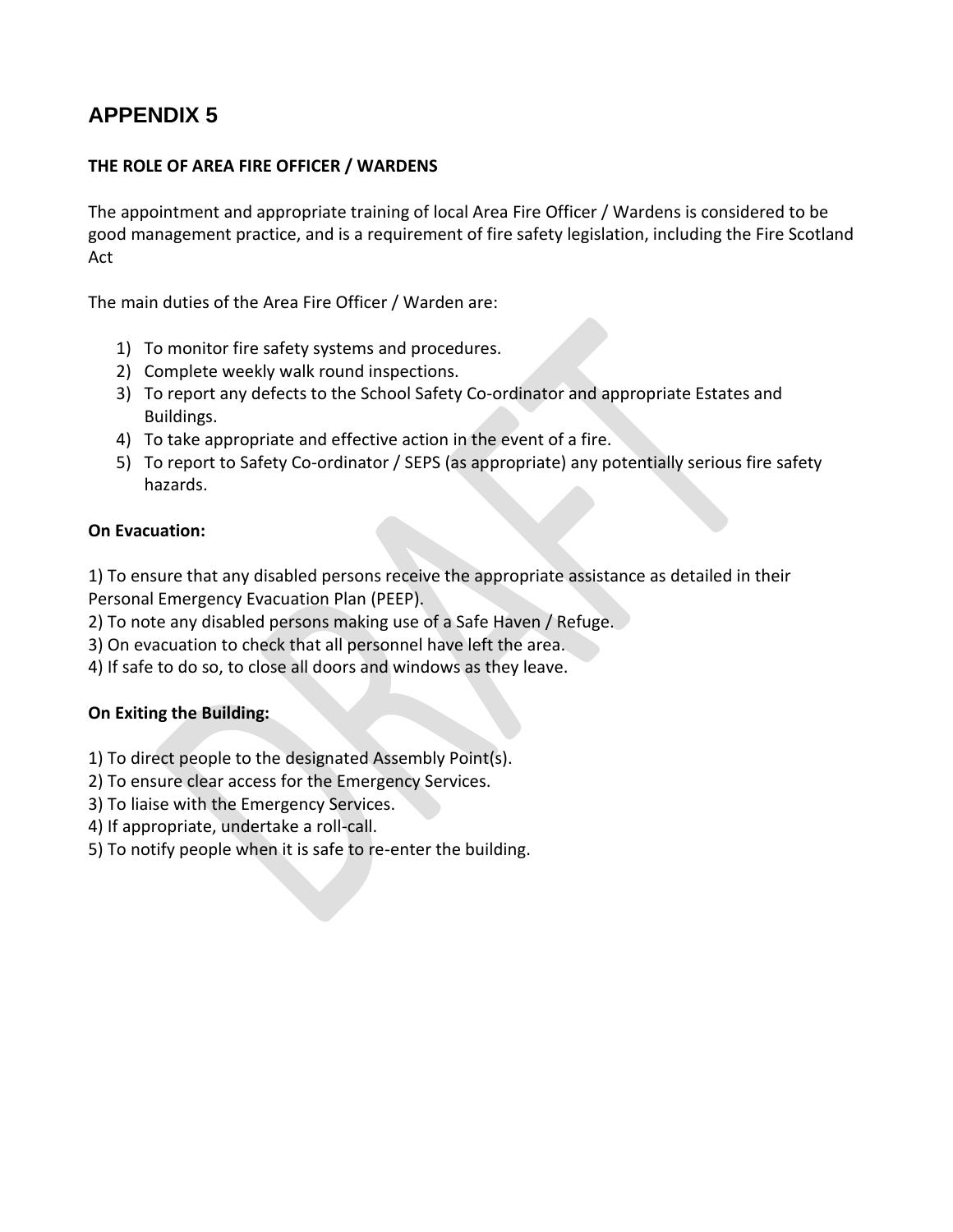### **THE ROLE OF AREA FIRE OFFICER / WARDENS**

The appointment and appropriate training of local Area Fire Officer / Wardens is considered to be good management practice, and is a requirement of fire safety legislation, including the Fire Scotland Act

The main duties of the Area Fire Officer / Warden are:

- 1) To monitor fire safety systems and procedures.
- 2) Complete weekly walk round inspections.
- 3) To report any defects to the School Safety Co-ordinator and appropriate Estates and Buildings.
- 4) To take appropriate and effective action in the event of a fire.
- 5) To report to Safety Co-ordinator / SEPS (as appropriate) any potentially serious fire safety hazards.

### **On Evacuation:**

1) To ensure that any disabled persons receive the appropriate assistance as detailed in their Personal Emergency Evacuation Plan (PEEP).

- 2) To note any disabled persons making use of a Safe Haven / Refuge.
- 3) On evacuation to check that all personnel have left the area.
- 4) If safe to do so, to close all doors and windows as they leave.

### **On Exiting the Building:**

- 1) To direct people to the designated Assembly Point(s).
- 2) To ensure clear access for the Emergency Services.
- 3) To liaise with the Emergency Services.
- 4) If appropriate, undertake a roll-call.
- 5) To notify people when it is safe to re-enter the building.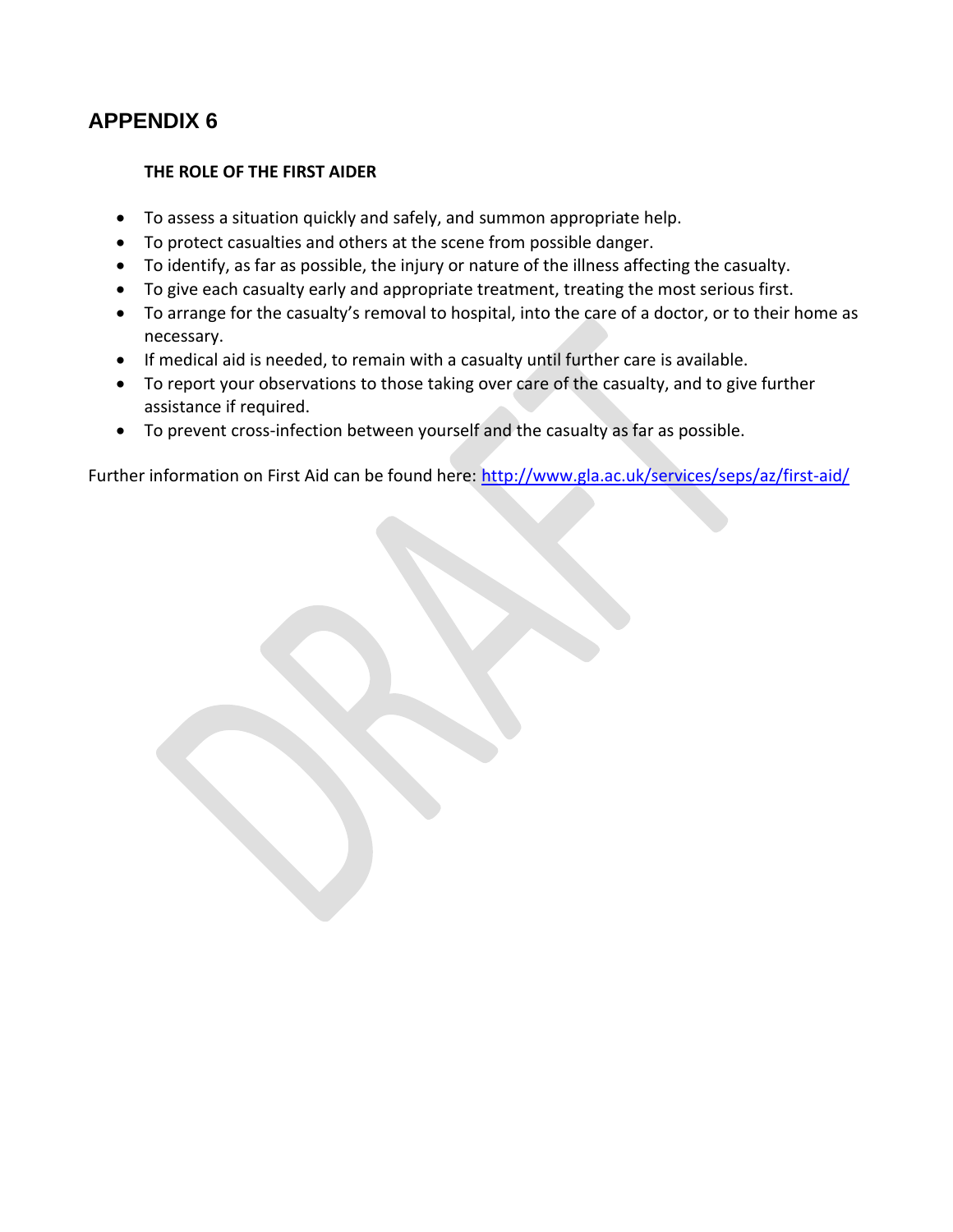#### **THE ROLE OF THE FIRST AIDER**

- To assess a situation quickly and safely, and summon appropriate help.
- To protect casualties and others at the scene from possible danger.
- To identify, as far as possible, the injury or nature of the illness affecting the casualty.
- To give each casualty early and appropriate treatment, treating the most serious first.
- To arrange for the casualty's removal to hospital, into the care of a doctor, or to their home as necessary.
- If medical aid is needed, to remain with a casualty until further care is available.
- To report your observations to those taking over care of the casualty, and to give further assistance if required.
- To prevent cross-infection between yourself and the casualty as far as possible.

Further information on First Aid can be found here:<http://www.gla.ac.uk/services/seps/az/first-aid/>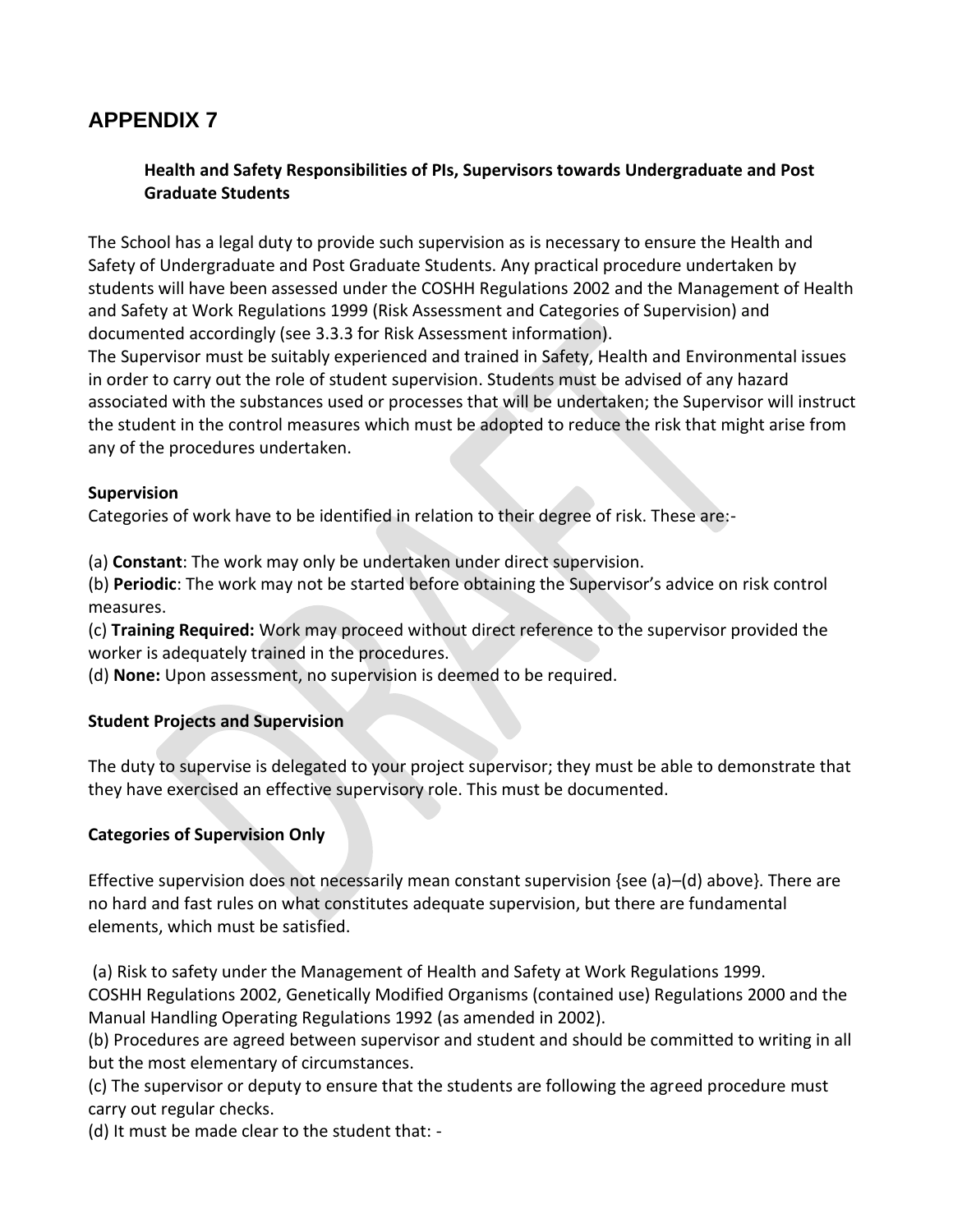### **Health and Safety Responsibilities of PIs, Supervisors towards Undergraduate and Post Graduate Students**

The School has a legal duty to provide such supervision as is necessary to ensure the Health and Safety of Undergraduate and Post Graduate Students. Any practical procedure undertaken by students will have been assessed under the COSHH Regulations 2002 and the Management of Health and Safety at Work Regulations 1999 (Risk Assessment and Categories of Supervision) and documented accordingly (see 3.3.3 for Risk Assessment information).

The Supervisor must be suitably experienced and trained in Safety, Health and Environmental issues in order to carry out the role of student supervision. Students must be advised of any hazard associated with the substances used or processes that will be undertaken; the Supervisor will instruct the student in the control measures which must be adopted to reduce the risk that might arise from any of the procedures undertaken.

#### **Supervision**

Categories of work have to be identified in relation to their degree of risk. These are:-

(a) **Constant**: The work may only be undertaken under direct supervision.

(b) **Periodic**: The work may not be started before obtaining the Supervisor's advice on risk control measures.

(c) **Training Required:** Work may proceed without direct reference to the supervisor provided the worker is adequately trained in the procedures.

(d) **None:** Upon assessment, no supervision is deemed to be required.

### **Student Projects and Supervision**

The duty to supervise is delegated to your project supervisor; they must be able to demonstrate that they have exercised an effective supervisory role. This must be documented.

### **Categories of Supervision Only**

Effective supervision does not necessarily mean constant supervision {see (a)–(d) above}. There are no hard and fast rules on what constitutes adequate supervision, but there are fundamental elements, which must be satisfied.

(a) Risk to safety under the Management of Health and Safety at Work Regulations 1999. COSHH Regulations 2002, Genetically Modified Organisms (contained use) Regulations 2000 and the Manual Handling Operating Regulations 1992 (as amended in 2002).

(b) Procedures are agreed between supervisor and student and should be committed to writing in all but the most elementary of circumstances.

(c) The supervisor or deputy to ensure that the students are following the agreed procedure must carry out regular checks.

(d) It must be made clear to the student that: -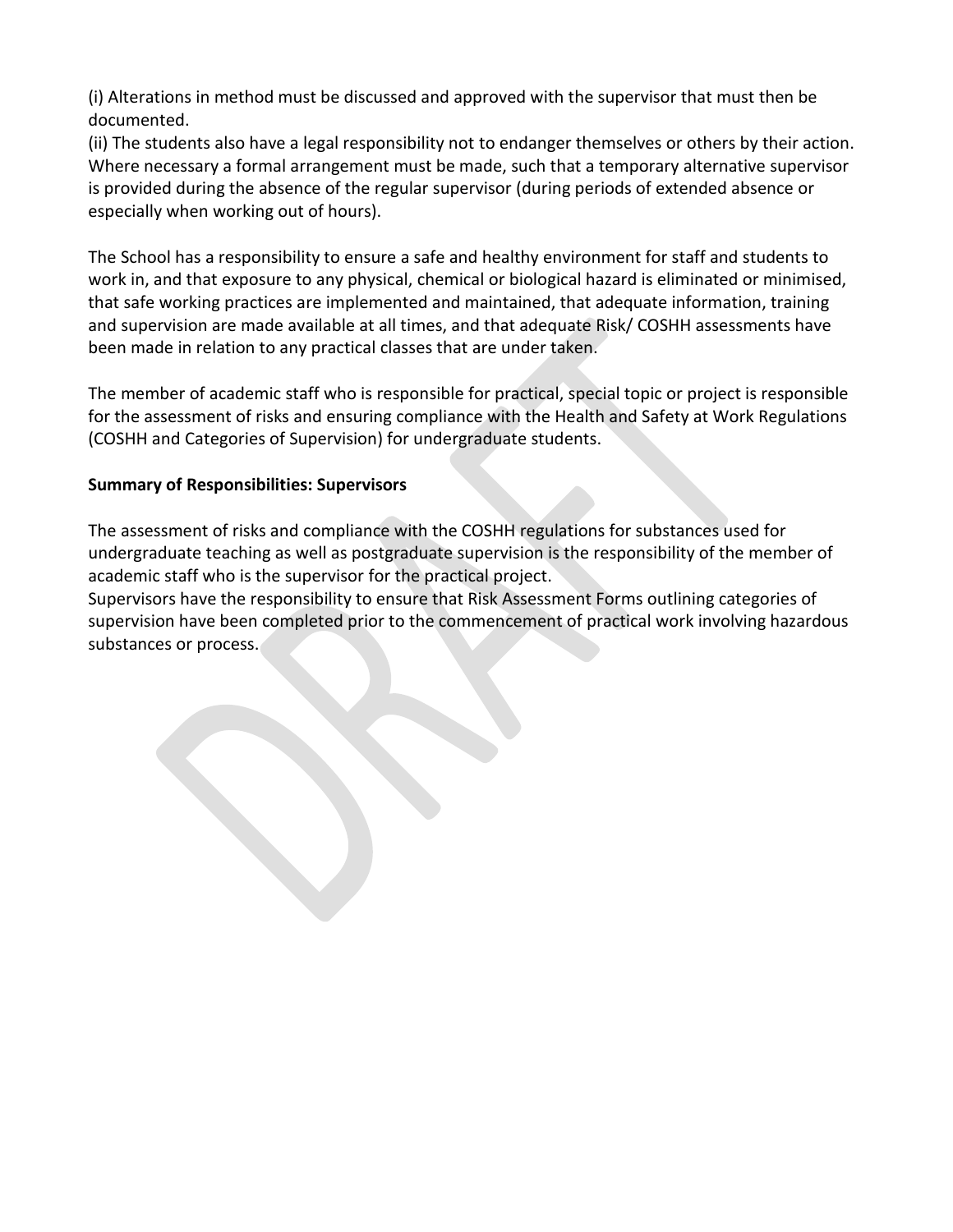(i) Alterations in method must be discussed and approved with the supervisor that must then be documented.

(ii) The students also have a legal responsibility not to endanger themselves or others by their action. Where necessary a formal arrangement must be made, such that a temporary alternative supervisor is provided during the absence of the regular supervisor (during periods of extended absence or especially when working out of hours).

The School has a responsibility to ensure a safe and healthy environment for staff and students to work in, and that exposure to any physical, chemical or biological hazard is eliminated or minimised, that safe working practices are implemented and maintained, that adequate information, training and supervision are made available at all times, and that adequate Risk/ COSHH assessments have been made in relation to any practical classes that are under taken.

The member of academic staff who is responsible for practical, special topic or project is responsible for the assessment of risks and ensuring compliance with the Health and Safety at Work Regulations (COSHH and Categories of Supervision) for undergraduate students.

### **Summary of Responsibilities: Supervisors**

The assessment of risks and compliance with the COSHH regulations for substances used for undergraduate teaching as well as postgraduate supervision is the responsibility of the member of academic staff who is the supervisor for the practical project.

Supervisors have the responsibility to ensure that Risk Assessment Forms outlining categories of supervision have been completed prior to the commencement of practical work involving hazardous substances or process.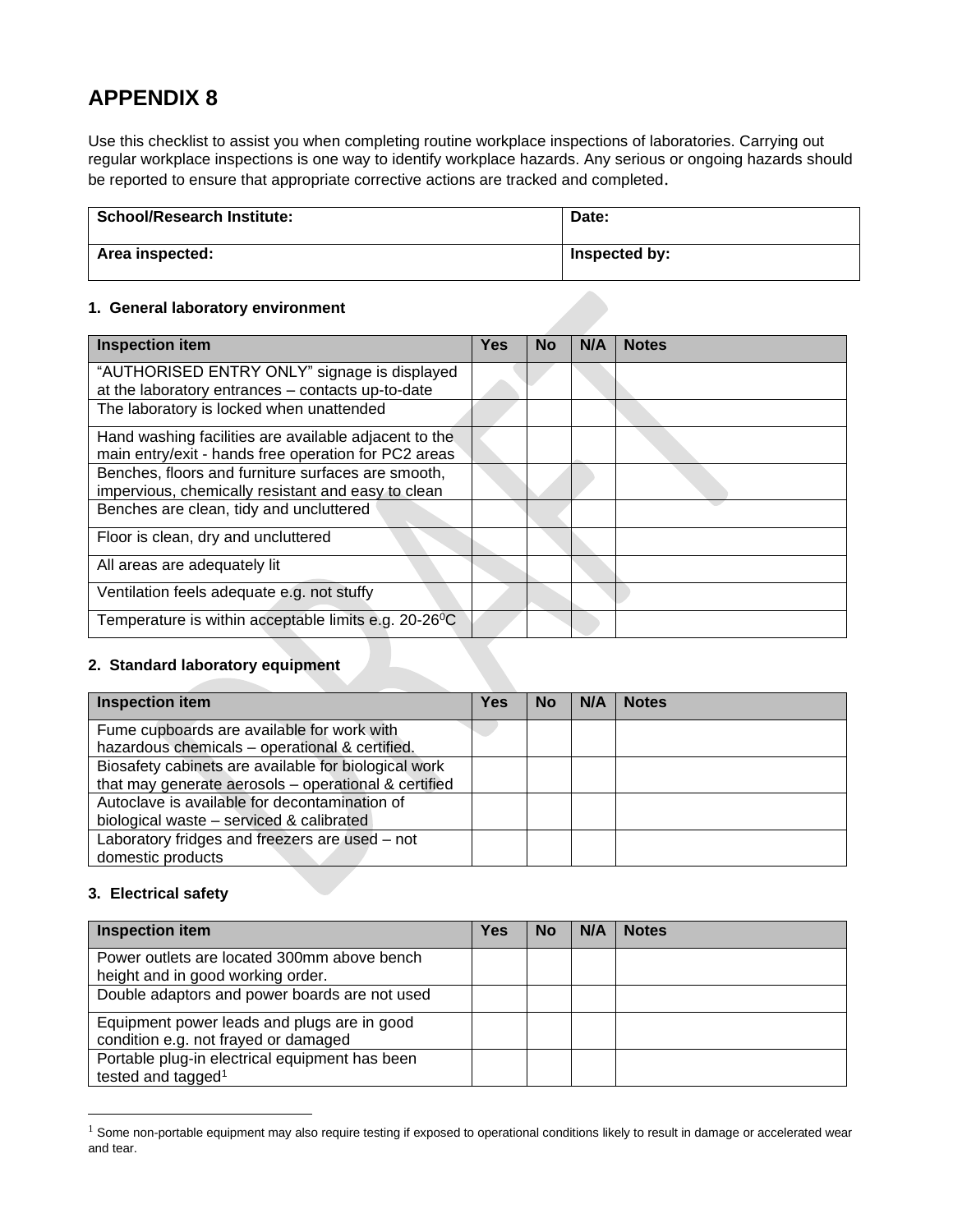Use this checklist to assist you when completing routine workplace inspections of laboratories. Carrying out regular workplace inspections is one way to identify workplace hazards. Any serious or ongoing hazards should be reported to ensure that appropriate corrective actions are tracked and completed.

| <b>School/Research Institute:</b> | Date:         |
|-----------------------------------|---------------|
| Area inspected:                   | Inspected by: |

#### **1. General laboratory environment**

| <b>Inspection item</b>                                            | <b>Yes</b> | <b>No</b> | N/A | <b>Notes</b> |
|-------------------------------------------------------------------|------------|-----------|-----|--------------|
| "AUTHORISED ENTRY ONLY" signage is displayed                      |            |           |     |              |
| at the laboratory entrances - contacts up-to-date                 |            |           |     |              |
| The laboratory is locked when unattended                          |            |           |     |              |
| Hand washing facilities are available adjacent to the             |            |           |     |              |
| main entry/exit - hands free operation for PC2 areas              |            |           |     |              |
| Benches, floors and furniture surfaces are smooth,                |            |           |     |              |
| impervious, chemically resistant and easy to clean                |            |           |     |              |
| Benches are clean, tidy and uncluttered                           |            |           |     |              |
| Floor is clean, dry and uncluttered                               |            |           |     |              |
| All areas are adequately lit                                      |            |           |     |              |
| Ventilation feels adequate e.g. not stuffy                        |            |           |     |              |
| Temperature is within acceptable limits e.g. 20-26 <sup>o</sup> C |            |           |     |              |

#### **2. Standard laboratory equipment**

| <b>Inspection item</b>                               | Yes | <b>No</b> | N/A | <b>Notes</b> |
|------------------------------------------------------|-----|-----------|-----|--------------|
| Fume cupboards are available for work with           |     |           |     |              |
| hazardous chemicals - operational & certified.       |     |           |     |              |
| Biosafety cabinets are available for biological work |     |           |     |              |
| that may generate aerosols - operational & certified |     |           |     |              |
| Autoclave is available for decontamination of        |     |           |     |              |
| biological waste - serviced & calibrated             |     |           |     |              |
| Laboratory fridges and freezers are used - not       |     |           |     |              |
| domestic products                                    |     |           |     |              |

#### **3. Electrical safety**

| <b>Inspection item</b>                         | Yes | No | N/A | <b>Notes</b> |
|------------------------------------------------|-----|----|-----|--------------|
| Power outlets are located 300mm above bench    |     |    |     |              |
| height and in good working order.              |     |    |     |              |
| Double adaptors and power boards are not used  |     |    |     |              |
| Equipment power leads and plugs are in good    |     |    |     |              |
| condition e.g. not frayed or damaged           |     |    |     |              |
| Portable plug-in electrical equipment has been |     |    |     |              |
| tested and tagged <sup>1</sup>                 |     |    |     |              |

 $1$  Some non-portable equipment may also require testing if exposed to operational conditions likely to result in damage or accelerated wear and tear.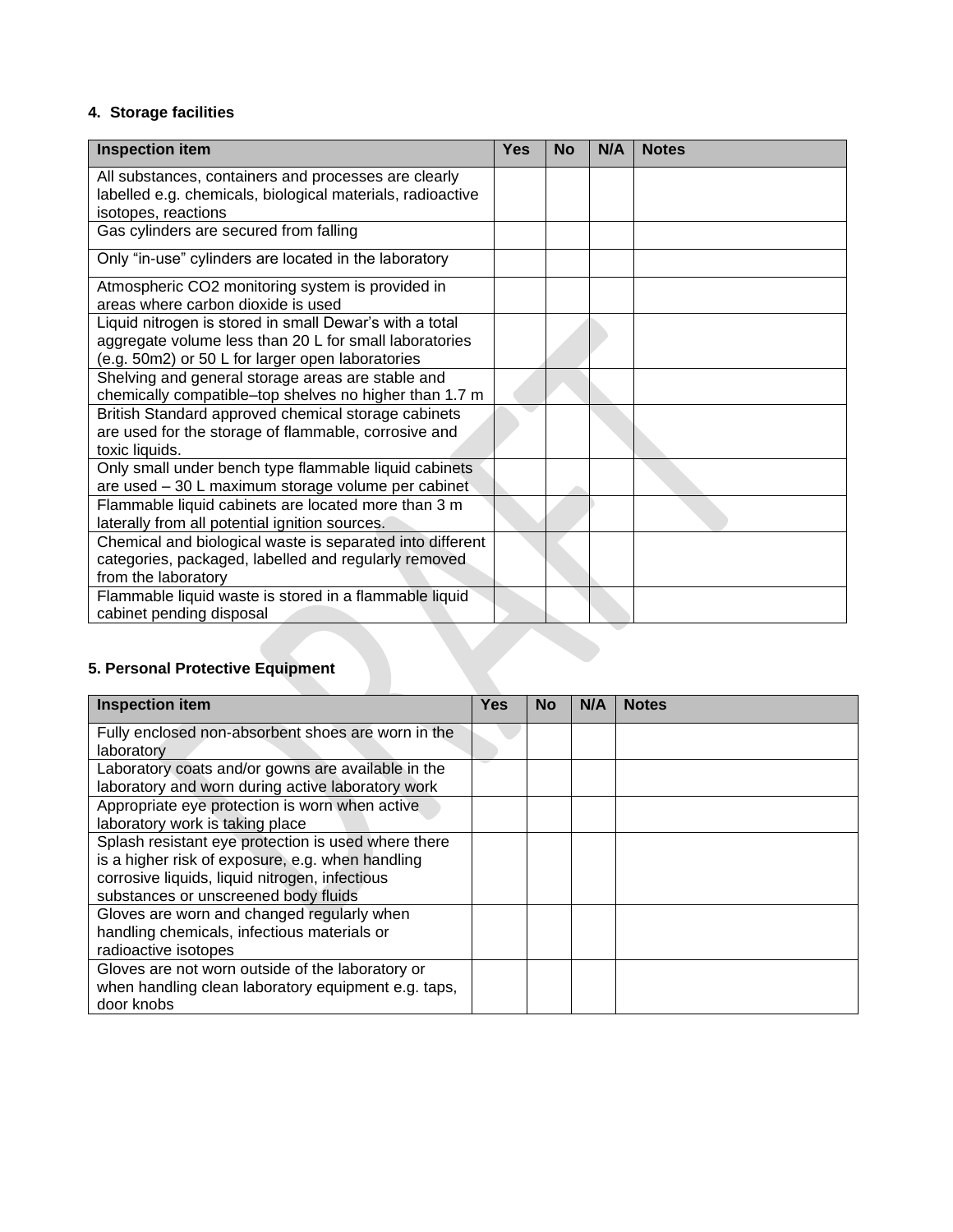#### **4. Storage facilities**

| <b>Inspection item</b>                                                                                     | <b>Yes</b> | <b>No</b> | N/A | <b>Notes</b> |
|------------------------------------------------------------------------------------------------------------|------------|-----------|-----|--------------|
| All substances, containers and processes are clearly                                                       |            |           |     |              |
| labelled e.g. chemicals, biological materials, radioactive<br>isotopes, reactions                          |            |           |     |              |
| Gas cylinders are secured from falling                                                                     |            |           |     |              |
| Only "in-use" cylinders are located in the laboratory                                                      |            |           |     |              |
|                                                                                                            |            |           |     |              |
| Atmospheric CO2 monitoring system is provided in                                                           |            |           |     |              |
| areas where carbon dioxide is used                                                                         |            |           |     |              |
| Liquid nitrogen is stored in small Dewar's with a total                                                    |            |           |     |              |
| aggregate volume less than 20 L for small laboratories<br>(e.g. 50m2) or 50 L for larger open laboratories |            |           |     |              |
| Shelving and general storage areas are stable and                                                          |            |           |     |              |
| chemically compatible-top shelves no higher than 1.7 m                                                     |            |           |     |              |
| British Standard approved chemical storage cabinets                                                        |            |           |     |              |
| are used for the storage of flammable, corrosive and                                                       |            |           |     |              |
| toxic liquids.                                                                                             |            |           |     |              |
| Only small under bench type flammable liquid cabinets                                                      |            |           |     |              |
| are used - 30 L maximum storage volume per cabinet                                                         |            |           |     |              |
| Flammable liquid cabinets are located more than 3 m<br>laterally from all potential ignition sources.      |            |           |     |              |
| Chemical and biological waste is separated into different                                                  |            |           |     |              |
| categories, packaged, labelled and regularly removed                                                       |            |           |     |              |
| from the laboratory                                                                                        |            |           |     |              |
| Flammable liquid waste is stored in a flammable liquid                                                     |            |           |     |              |
| cabinet pending disposal                                                                                   |            |           |     |              |
|                                                                                                            |            |           |     |              |
|                                                                                                            |            |           |     |              |
| 5. Personal Protective Equipment                                                                           |            |           |     |              |

### **5. Personal Protective Equipment**

| <b>Inspection item</b>                              | <b>Yes</b> | <b>No</b> | N/A | <b>Notes</b> |
|-----------------------------------------------------|------------|-----------|-----|--------------|
| Fully enclosed non-absorbent shoes are worn in the  |            |           |     |              |
| laboratory                                          |            |           |     |              |
| Laboratory coats and/or gowns are available in the  |            |           |     |              |
| laboratory and worn during active laboratory work   |            |           |     |              |
| Appropriate eye protection is worn when active      |            |           |     |              |
| laboratory work is taking place                     |            |           |     |              |
| Splash resistant eye protection is used where there |            |           |     |              |
| is a higher risk of exposure, e.g. when handling    |            |           |     |              |
| corrosive liquids, liquid nitrogen, infectious      |            |           |     |              |
| substances or unscreened body fluids                |            |           |     |              |
| Gloves are worn and changed regularly when          |            |           |     |              |
| handling chemicals, infectious materials or         |            |           |     |              |
| radioactive isotopes                                |            |           |     |              |
| Gloves are not worn outside of the laboratory or    |            |           |     |              |
| when handling clean laboratory equipment e.g. taps, |            |           |     |              |
| door knobs                                          |            |           |     |              |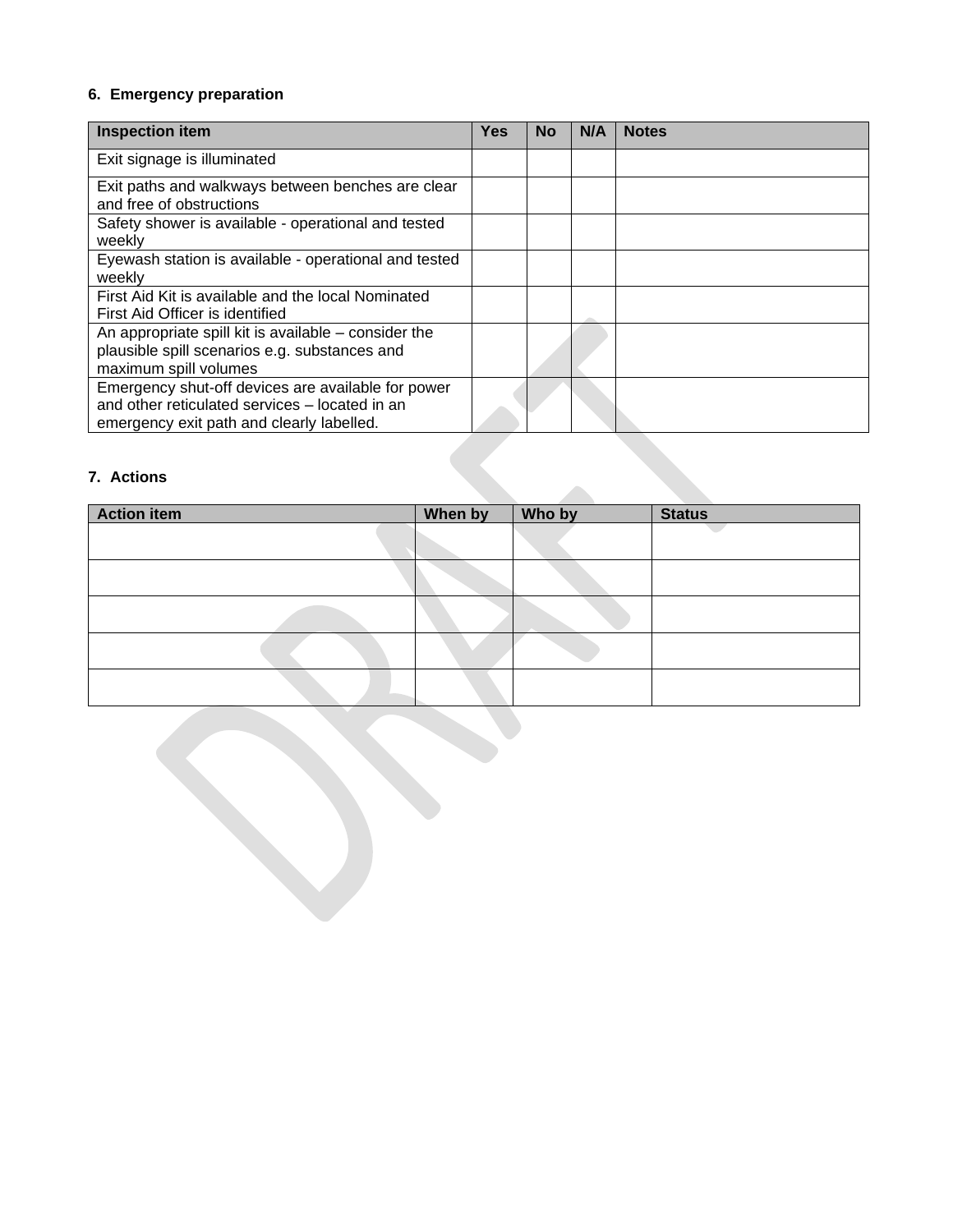### **6. Emergency preparation**

| <b>Inspection item</b>                                                                                                                            | <b>Yes</b> | <b>No</b> | N/A | <b>Notes</b> |
|---------------------------------------------------------------------------------------------------------------------------------------------------|------------|-----------|-----|--------------|
| Exit signage is illuminated                                                                                                                       |            |           |     |              |
| Exit paths and walkways between benches are clear<br>and free of obstructions                                                                     |            |           |     |              |
| Safety shower is available - operational and tested<br>weekly                                                                                     |            |           |     |              |
| Eyewash station is available - operational and tested<br>weekly                                                                                   |            |           |     |              |
| First Aid Kit is available and the local Nominated<br>First Aid Officer is identified                                                             |            |           |     |              |
| An appropriate spill kit is available – consider the<br>plausible spill scenarios e.g. substances and<br>maximum spill volumes                    |            |           |     |              |
| Emergency shut-off devices are available for power<br>and other reticulated services – located in an<br>emergency exit path and clearly labelled. |            |           |     |              |

### **7. Actions**

| 7. Actions         |         |        |               |
|--------------------|---------|--------|---------------|
| <b>Action item</b> | When by | Who by | <b>Status</b> |
|                    |         |        |               |
|                    |         |        |               |
|                    |         |        |               |
|                    |         |        |               |
|                    |         |        |               |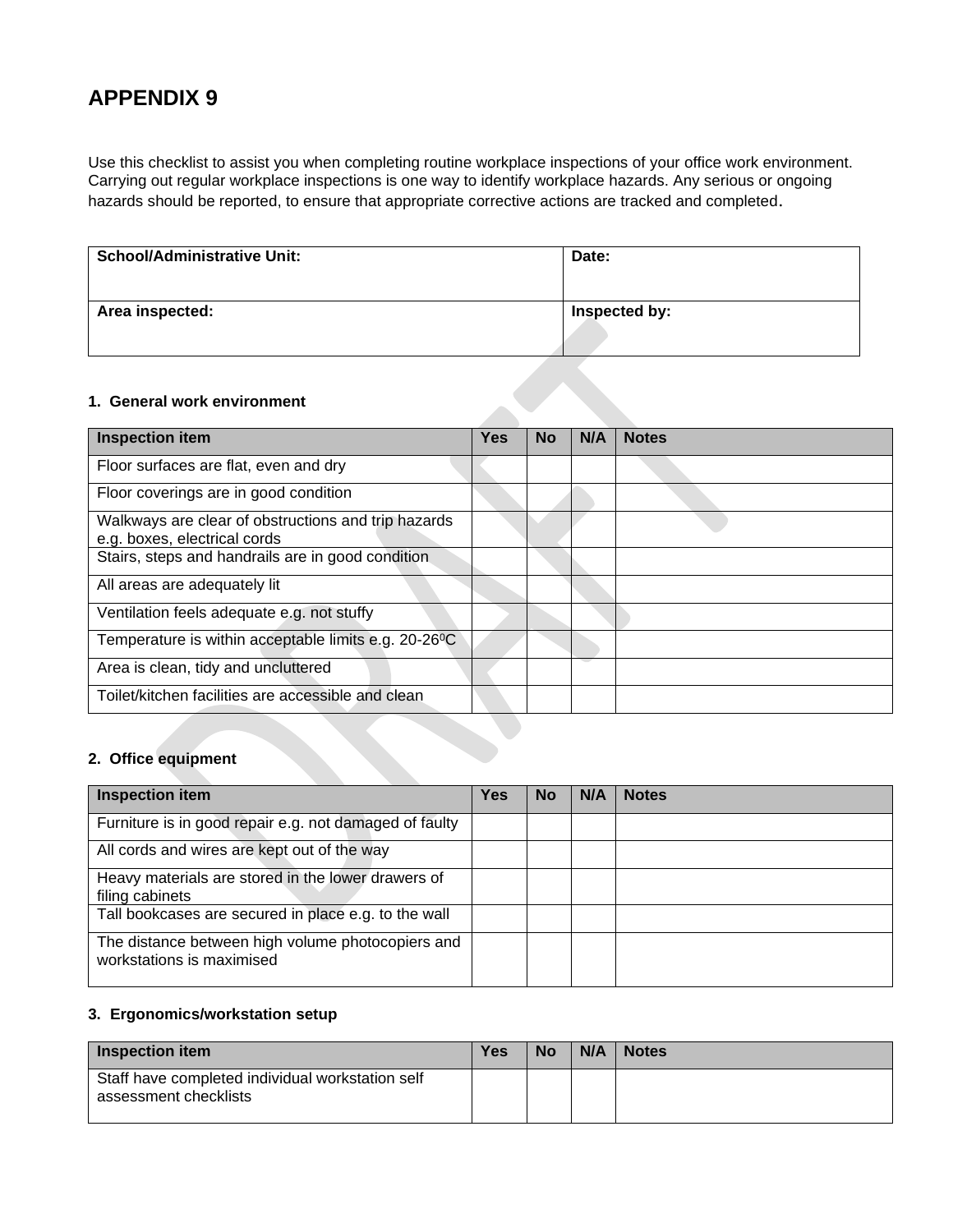Use this checklist to assist you when completing routine workplace inspections of your office work environment. Carrying out regular workplace inspections is one way to identify workplace hazards. Any serious or ongoing hazards should be reported, to ensure that appropriate corrective actions are tracked and completed.

| <b>School/Administrative Unit:</b> | Date:         |
|------------------------------------|---------------|
| Area inspected:                    | Inspected by: |

#### **1. General work environment**

| <b>Inspection item</b>                                                              | <b>Yes</b> | No | N/A | <b>Notes</b> |
|-------------------------------------------------------------------------------------|------------|----|-----|--------------|
| Floor surfaces are flat, even and dry                                               |            |    |     |              |
| Floor coverings are in good condition                                               |            |    |     |              |
| Walkways are clear of obstructions and trip hazards<br>e.g. boxes, electrical cords |            |    |     |              |
| Stairs, steps and handrails are in good condition                                   |            |    |     |              |
| All areas are adequately lit                                                        |            |    |     |              |
| Ventilation feels adequate e.g. not stuffy                                          |            |    |     |              |
| Temperature is within acceptable limits e.g. 20-26 <sup>o</sup> C                   |            |    |     |              |
| Area is clean, tidy and uncluttered                                                 |            |    |     |              |
| Toilet/kitchen facilities are accessible and clean                                  |            |    |     |              |

#### **2. Office equipment**

| <b>Inspection item</b>                                                         | <b>Yes</b> | No | N/A | <b>Notes</b> |
|--------------------------------------------------------------------------------|------------|----|-----|--------------|
| Furniture is in good repair e.g. not damaged of faulty                         |            |    |     |              |
| All cords and wires are kept out of the way                                    |            |    |     |              |
| Heavy materials are stored in the lower drawers of<br>filing cabinets          |            |    |     |              |
| Tall bookcases are secured in place e.g. to the wall                           |            |    |     |              |
| The distance between high volume photocopiers and<br>workstations is maximised |            |    |     |              |

#### **3. Ergonomics/workstation setup**

| <b>Inspection item</b>                                                    | <b>Yes</b> | <b>No</b> | N/A | <b>Notes</b> |
|---------------------------------------------------------------------------|------------|-----------|-----|--------------|
| Staff have completed individual workstation self<br>assessment checklists |            |           |     |              |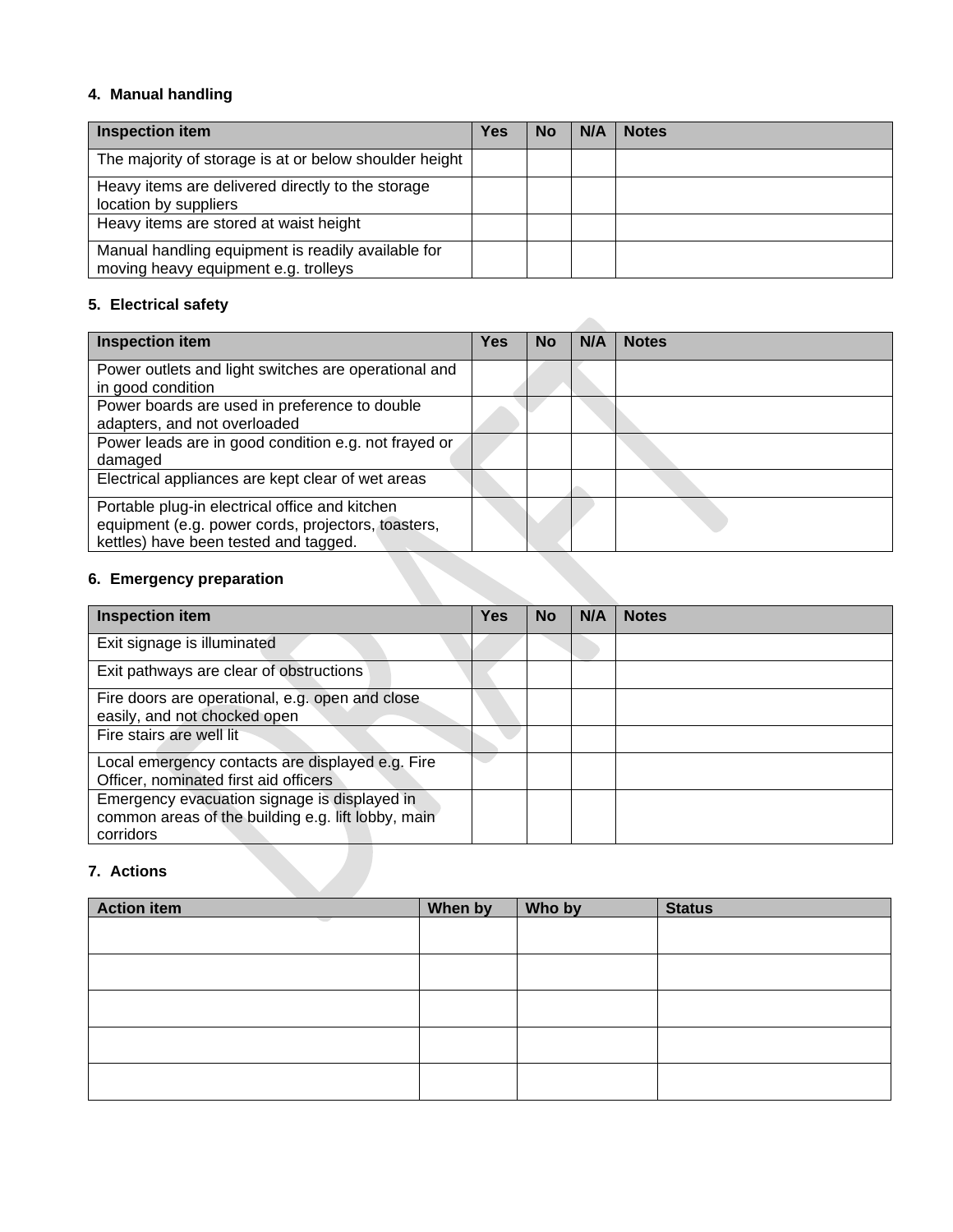#### **4. Manual handling**

| <b>Inspection item</b>                                                                     | <b>Yes</b> | No | N/A | <b>Notes</b> |
|--------------------------------------------------------------------------------------------|------------|----|-----|--------------|
| The majority of storage is at or below shoulder height                                     |            |    |     |              |
| Heavy items are delivered directly to the storage<br>location by suppliers                 |            |    |     |              |
| Heavy items are stored at waist height                                                     |            |    |     |              |
| Manual handling equipment is readily available for<br>moving heavy equipment e.g. trolleys |            |    |     |              |

### **5. Electrical safety**

| <b>Inspection item</b>                                                                                                                        | <b>Yes</b> | <b>No</b> | N/A | <b>Notes</b> |
|-----------------------------------------------------------------------------------------------------------------------------------------------|------------|-----------|-----|--------------|
| Power outlets and light switches are operational and<br>in good condition                                                                     |            |           |     |              |
| Power boards are used in preference to double<br>adapters, and not overloaded                                                                 |            |           |     |              |
| Power leads are in good condition e.g. not frayed or<br>damaged                                                                               |            |           |     |              |
| Electrical appliances are kept clear of wet areas                                                                                             |            |           |     |              |
| Portable plug-in electrical office and kitchen<br>equipment (e.g. power cords, projectors, toasters,<br>kettles) have been tested and tagged. |            |           |     |              |

## **6. Emergency preparation**

| <b>Inspection item</b>                                                                                          | <b>Yes</b> | <b>No</b> | N/A | <b>Notes</b> |
|-----------------------------------------------------------------------------------------------------------------|------------|-----------|-----|--------------|
| Exit signage is illuminated                                                                                     |            |           |     |              |
| Exit pathways are clear of obstructions                                                                         |            |           |     |              |
| Fire doors are operational, e.g. open and close<br>easily, and not chocked open                                 |            |           |     |              |
| Fire stairs are well lit                                                                                        |            |           |     |              |
| Local emergency contacts are displayed e.g. Fire<br>Officer, nominated first aid officers                       |            |           |     |              |
| Emergency evacuation signage is displayed in<br>common areas of the building e.g. lift lobby, main<br>corridors |            |           |     |              |
| 7. Actions                                                                                                      |            |           |     |              |

# **7. Actions**

| <b>Action item</b> | When by | Who by | <b>Status</b> |
|--------------------|---------|--------|---------------|
|                    |         |        |               |
|                    |         |        |               |
|                    |         |        |               |
|                    |         |        |               |
|                    |         |        |               |
|                    |         |        |               |
|                    |         |        |               |
|                    |         |        |               |
|                    |         |        |               |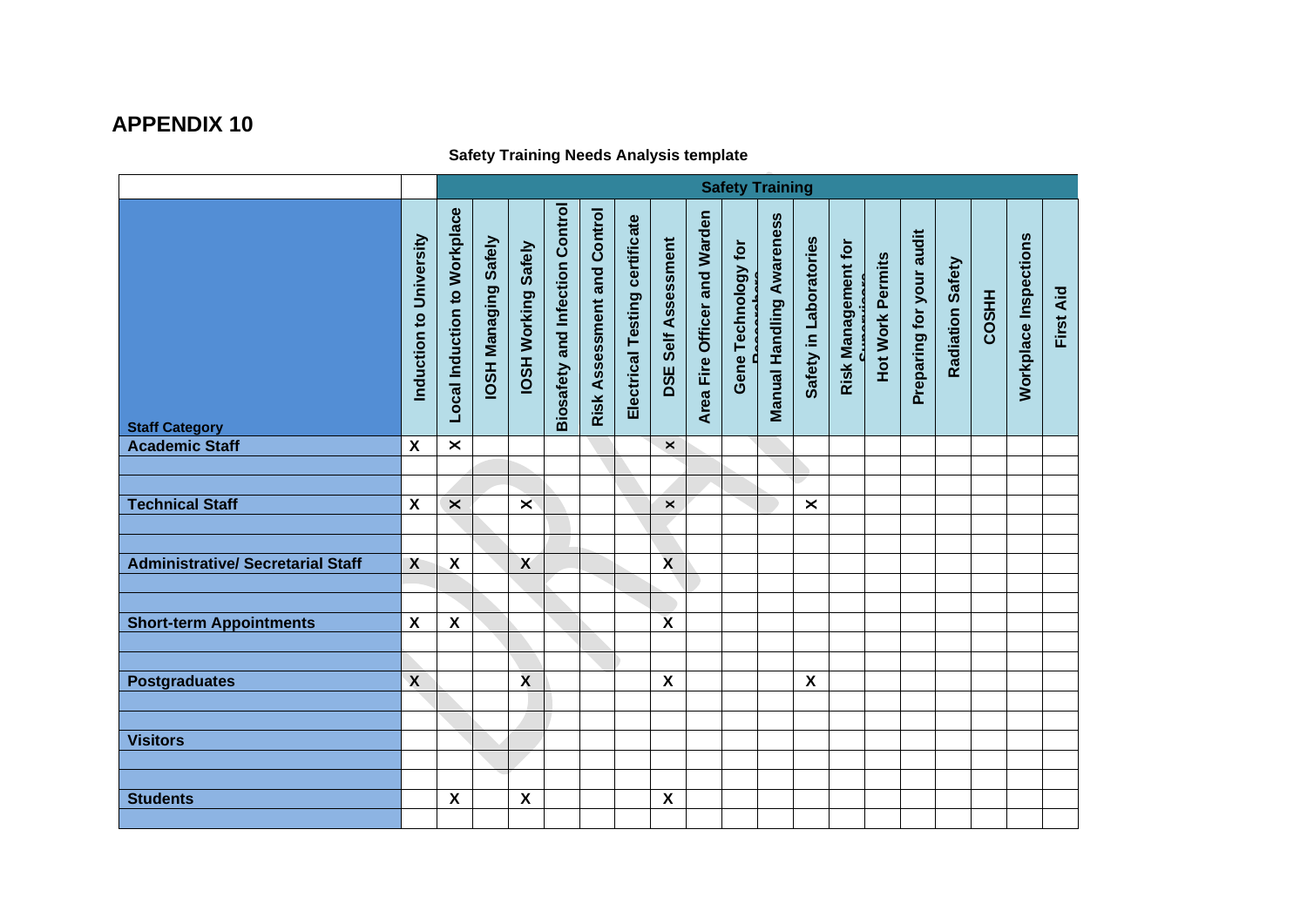## **Safety Training Needs Analysis template**

|                                          |                           | <b>Safety Training</b>       |                             |                            |                                        |                             |                                |                           |                              |                     |                           |                           |                            |                         |                          |                  |              |                       |           |
|------------------------------------------|---------------------------|------------------------------|-----------------------------|----------------------------|----------------------------------------|-----------------------------|--------------------------------|---------------------------|------------------------------|---------------------|---------------------------|---------------------------|----------------------------|-------------------------|--------------------------|------------------|--------------|-----------------------|-----------|
| <b>Staff Category</b>                    | Induction to University   | Local Induction to Workplace | <b>IOSH Managing Safely</b> | <b>IOSH Working Safely</b> | <b>Biosafety and Infection Control</b> | Risk Assessment and Control | Electrical Testing certificate | Self Assessment<br>DSE    | Area Fire Officer and Warden | Gene Technology for | Manual Handling Awareness | Safety in Laboratories    | <b>Risk Management for</b> | <b>Hot Work Permits</b> | Preparing for your audit | Radiation Safety | <b>COSHH</b> | Workplace Inspections | First Aid |
| <b>Academic Staff</b>                    | $\boldsymbol{\mathsf{X}}$ | $\times$                     |                             |                            |                                        |                             |                                | $\mathsf{x}$              |                              |                     |                           |                           |                            |                         |                          |                  |              |                       |           |
|                                          |                           |                              |                             |                            |                                        |                             |                                |                           |                              |                     |                           |                           |                            |                         |                          |                  |              |                       |           |
|                                          |                           |                              |                             |                            |                                        |                             |                                |                           |                              |                     |                           |                           |                            |                         |                          |                  |              |                       |           |
| <b>Technical Staff</b>                   | $\boldsymbol{\mathsf{x}}$ | $\times$                     |                             | $\overline{\mathsf{x}}$    |                                        |                             |                                | $\boldsymbol{\times}$     |                              |                     |                           | $\times$                  |                            |                         |                          |                  |              |                       |           |
|                                          |                           |                              |                             |                            |                                        |                             |                                |                           |                              |                     |                           |                           |                            |                         |                          |                  |              |                       |           |
|                                          |                           |                              |                             |                            |                                        |                             |                                |                           |                              |                     |                           |                           |                            |                         |                          |                  |              |                       |           |
| <b>Administrative/ Secretarial Staff</b> | X                         | $\boldsymbol{\mathsf{X}}$    |                             | $\boldsymbol{X}$           |                                        |                             |                                | $\boldsymbol{\mathsf{x}}$ |                              |                     |                           |                           |                            |                         |                          |                  |              |                       |           |
|                                          |                           |                              |                             |                            |                                        |                             |                                |                           |                              |                     |                           |                           |                            |                         |                          |                  |              |                       |           |
| <b>Short-term Appointments</b>           | $\pmb{\mathsf{X}}$        | $\boldsymbol{\mathsf{X}}$    |                             |                            |                                        |                             |                                | $\overline{\mathbf{x}}$   |                              |                     |                           |                           |                            |                         |                          |                  |              |                       |           |
|                                          |                           |                              |                             |                            |                                        |                             |                                |                           |                              |                     |                           |                           |                            |                         |                          |                  |              |                       |           |
|                                          |                           |                              |                             |                            |                                        |                             |                                |                           |                              |                     |                           |                           |                            |                         |                          |                  |              |                       |           |
| <b>Postgraduates</b>                     | $\boldsymbol{\mathsf{X}}$ |                              |                             | $\mathbf{x}$               |                                        |                             |                                | $\boldsymbol{\mathsf{X}}$ |                              |                     |                           | $\boldsymbol{\mathsf{X}}$ |                            |                         |                          |                  |              |                       |           |
|                                          |                           |                              |                             |                            |                                        |                             |                                |                           |                              |                     |                           |                           |                            |                         |                          |                  |              |                       |           |
|                                          |                           |                              |                             |                            |                                        |                             |                                |                           |                              |                     |                           |                           |                            |                         |                          |                  |              |                       |           |
| <b>Visitors</b>                          |                           |                              |                             |                            |                                        |                             |                                |                           |                              |                     |                           |                           |                            |                         |                          |                  |              |                       |           |
|                                          |                           |                              |                             |                            |                                        |                             |                                |                           |                              |                     |                           |                           |                            |                         |                          |                  |              |                       |           |
|                                          |                           |                              |                             |                            |                                        |                             |                                |                           |                              |                     |                           |                           |                            |                         |                          |                  |              |                       |           |
| <b>Students</b>                          |                           | $\boldsymbol{\mathsf{X}}$    |                             | $\boldsymbol{\mathsf{X}}$  |                                        |                             |                                | $\boldsymbol{\mathsf{X}}$ |                              |                     |                           |                           |                            |                         |                          |                  |              |                       |           |
|                                          |                           |                              |                             |                            |                                        |                             |                                |                           |                              |                     |                           |                           |                            |                         |                          |                  |              |                       |           |